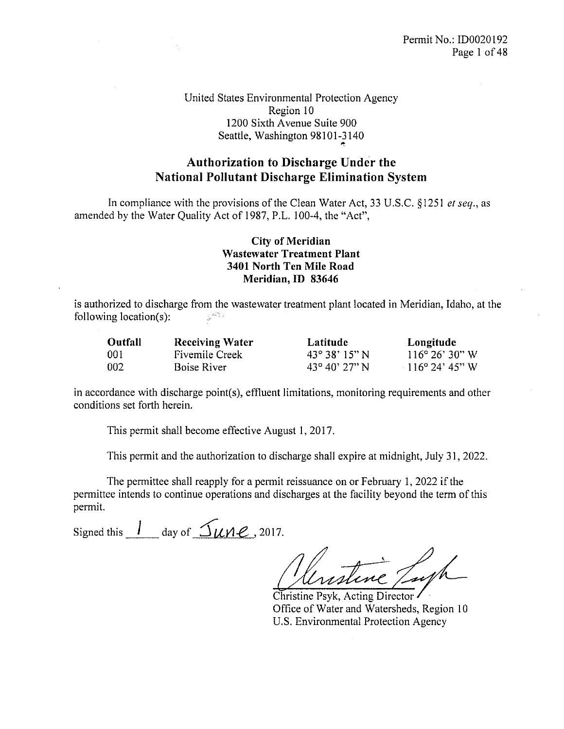United States Environmental Protection Agency Region 10 1200 Sixth Avenue Suite 900 Seattle, Washington 98101-3140

## Authorization to Discharge Under the National Pollutant Discharge Elimination System

In compliance with the provisions of the Clean Water Act, 33 U.S.C. §1251 *et seq.*, as amended by the Water Quality Act of 1987, P.L. 100-4, the "Act",

#### City of Meridian Wastewater Treatment Plant 3401 North Ten Mile Road Meridian, ID 83646

is authorized to discharge from the wastewater treatment plant located in Meridian, Idaho, at the following location(s):  $\frac{1}{2\pi} \frac{d\tilde{\omega}^{2} \tilde{\sigma}_{\rm{N}}^{2}}{d\tilde{\omega}}$ 

| Outfall | <b>Receiving Water</b> | Latitude              | Longitude                |
|---------|------------------------|-----------------------|--------------------------|
| 001     | <b>Fivemile Creek</b>  | $43^{\circ}38'15''$ N | $116^{\circ} 26' 30'' W$ |
| 002     | Boise River            | $43^{\circ}40'27''$ N | $116^{\circ}$ 24' 45" W  |

in accordance with discharge point(s), effluent limitations, monitoring requirements and other conditions set forth herein.

This permit shall become effective August 1, 2017.

This permit and the authorization to discharge shall expire at midnight, July 31, 2022.

The permittee shall reapply for a permit reissuance on or February 1, 2022 if the permittee intends to continue operations and discharges at the facility beyond the term of this permit.

Signed this  $\frac{1}{2}$  day of  $\frac{1}{2}$   $\mu$ ne, 2017.

Christine Psyk, Acting Director Office of Water and Watersheds, Region 10 U.S. Environmental Protection Agency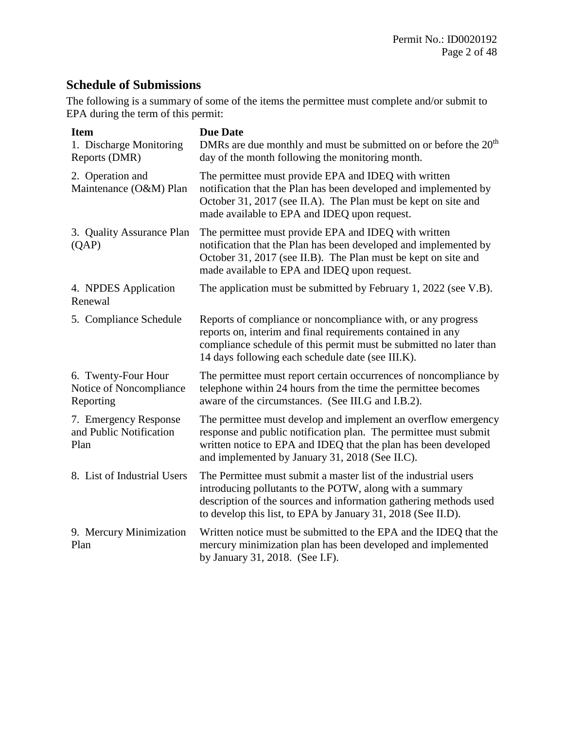## **Schedule of Submissions**

The following is a summary of some of the items the permittee must complete and/or submit to EPA during the term of this permit:

| <b>Item</b><br>1. Discharge Monitoring<br>Reports (DMR)     | <b>Due Date</b><br>DMRs are due monthly and must be submitted on or before the $20th$<br>day of the month following the monitoring month.                                                                                                                        |
|-------------------------------------------------------------|------------------------------------------------------------------------------------------------------------------------------------------------------------------------------------------------------------------------------------------------------------------|
| 2. Operation and<br>Maintenance (O&M) Plan                  | The permittee must provide EPA and IDEQ with written<br>notification that the Plan has been developed and implemented by<br>October 31, 2017 (see II.A). The Plan must be kept on site and<br>made available to EPA and IDEQ upon request.                       |
| 3. Quality Assurance Plan<br>(QAP)                          | The permittee must provide EPA and IDEQ with written<br>notification that the Plan has been developed and implemented by<br>October 31, 2017 (see II.B). The Plan must be kept on site and<br>made available to EPA and IDEQ upon request.                       |
| 4. NPDES Application<br>Renewal                             | The application must be submitted by February 1, 2022 (see V.B).                                                                                                                                                                                                 |
| 5. Compliance Schedule                                      | Reports of compliance or noncompliance with, or any progress<br>reports on, interim and final requirements contained in any<br>compliance schedule of this permit must be submitted no later than<br>14 days following each schedule date (see III.K).           |
| 6. Twenty-Four Hour<br>Notice of Noncompliance<br>Reporting | The permittee must report certain occurrences of noncompliance by<br>telephone within 24 hours from the time the permittee becomes<br>aware of the circumstances. (See III.G and I.B.2).                                                                         |
| 7. Emergency Response<br>and Public Notification<br>Plan    | The permittee must develop and implement an overflow emergency<br>response and public notification plan. The permittee must submit<br>written notice to EPA and IDEQ that the plan has been developed<br>and implemented by January 31, 2018 (See II.C).         |
| 8. List of Industrial Users                                 | The Permittee must submit a master list of the industrial users<br>introducing pollutants to the POTW, along with a summary<br>description of the sources and information gathering methods used<br>to develop this list, to EPA by January 31, 2018 (See II.D). |
| 9. Mercury Minimization<br>Plan                             | Written notice must be submitted to the EPA and the IDEQ that the<br>mercury minimization plan has been developed and implemented<br>by January 31, 2018. (See I.F).                                                                                             |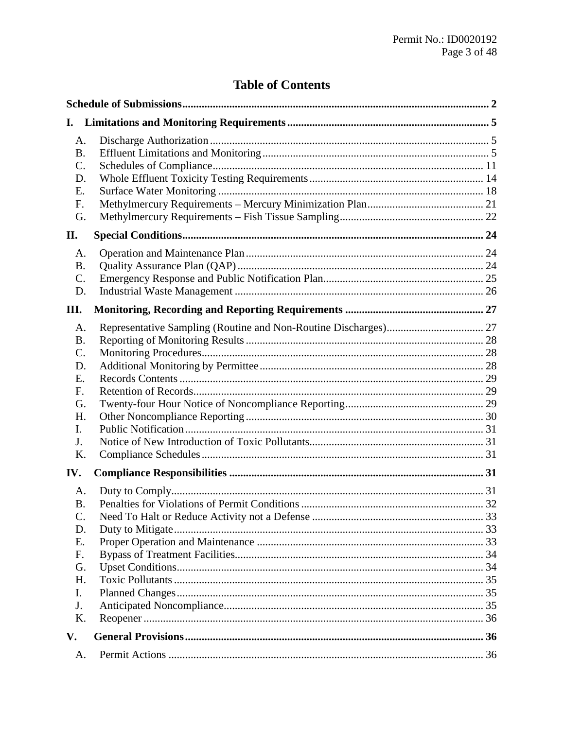## **Table of Contents**

| I.                                            |  |
|-----------------------------------------------|--|
| A.<br><b>B.</b><br>C.<br>D.<br>Е.<br>F.<br>G. |  |
| П.                                            |  |
| A.<br><b>B.</b><br>$\mathsf{C}$ .<br>D.       |  |
| Ш.                                            |  |
| A.<br><b>B.</b><br>C.<br>D.                   |  |
| Е.<br>F.<br>G.<br>Η.                          |  |
| I.<br>J.<br>K.                                |  |
| IV.                                           |  |
| A.<br><b>B.</b><br>C.<br>D.                   |  |
| Е.<br>F.<br>G.                                |  |
| H.<br>I.<br>J.<br>K.                          |  |
| V.                                            |  |
| A.                                            |  |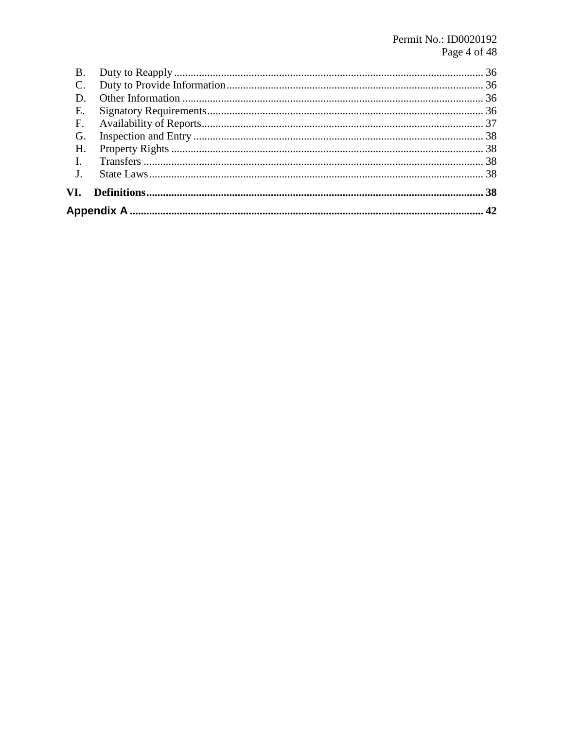| Β. |  |
|----|--|
|    |  |
|    |  |
| Е. |  |
| F. |  |
| G. |  |
| Н. |  |
|    |  |
| J. |  |
|    |  |
|    |  |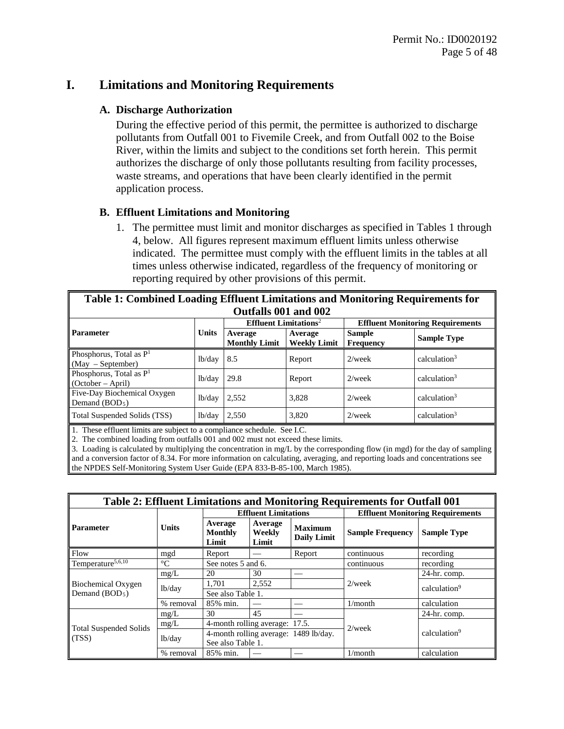## **I. Limitations and Monitoring Requirements**

#### **A. Discharge Authorization**

During the effective period of this permit, the permittee is authorized to discharge pollutants from Outfall 001 to Fivemile Creek, and from Outfall 002 to the Boise River, within the limits and subject to the conditions set forth herein. This permit authorizes the discharge of only those pollutants resulting from facility processes, waste streams, and operations that have been clearly identified in the permit application process.

#### **B. Effluent Limitations and Monitoring**

1. The permittee must limit and monitor discharges as specified in Tables 1 through 4, below. All figures represent maximum effluent limits unless otherwise indicated. The permittee must comply with the effluent limits in the tables at all times unless otherwise indicated, regardless of the frequency of monitoring or reporting required by other provisions of this permit.

| Table 1: Combined Loading Effluent Limitations and Monitoring Requirements for |              |                                     |                                |                            |                                         |  |  |
|--------------------------------------------------------------------------------|--------------|-------------------------------------|--------------------------------|----------------------------|-----------------------------------------|--|--|
|                                                                                |              | Outfalls 001 and 002                |                                |                            |                                         |  |  |
|                                                                                |              | $Effluent$ Limitations <sup>2</sup> |                                |                            | <b>Effluent Monitoring Requirements</b> |  |  |
| <b>Parameter</b>                                                               | <b>Units</b> | Average<br><b>Monthly Limit</b>     | Average<br><b>Weekly Limit</b> | Sample<br><b>Frequency</b> | <b>Sample Type</b>                      |  |  |
| Phosphorus, Total as P <sup>1</sup><br>(May – September)                       | lb/day       | 8.5                                 | Report                         | $2$ /week                  | calculation $3$                         |  |  |
| Phosphorus, Total as $P1$<br>(October – April)                                 | lb/day       | 29.8                                | Report                         | $2$ /week                  | $cal$ . calculation <sup>3</sup>        |  |  |
| Five-Day Biochemical Oxygen<br>Demand $(BOD5)$                                 | lb/day       | 2,552                               | 3.828                          | $2$ /week                  | calculation $3$                         |  |  |
| Total Suspended Solids (TSS)                                                   | lb/day       | 2.550                               | 3.820                          | $2$ /week                  | calculation $3$                         |  |  |
| These effluent limits are subject to a compliance schedule See LC              |              |                                     |                                |                            |                                         |  |  |

1. These effluent limits are subject to a compliance schedule. See I.C.

2. The combined loading from outfalls 001 and 002 must not exceed these limits.

3. Loading is calculated by multiplying the concentration in mg/L by the corresponding flow (in mgd) for the day of sampling and a conversion factor of 8.34. For more information on calculating, averaging, and reporting loads and concentrations see the NPDES Self-Monitoring System User Guide (EPA 833-B-85-100, March 1985).

| Table 2: Effluent Limitations and Monitoring Requirements for Outfall 001 |              |                                    |                             |                                       |                         |                                         |  |
|---------------------------------------------------------------------------|--------------|------------------------------------|-----------------------------|---------------------------------------|-------------------------|-----------------------------------------|--|
|                                                                           | <b>Units</b> |                                    | <b>Effluent Limitations</b> |                                       |                         | <b>Effluent Monitoring Requirements</b> |  |
| <b>Parameter</b>                                                          |              | Average<br><b>Monthly</b><br>Limit | Average<br>Weekly<br>Limit  | <b>Maximum</b><br><b>Daily Limit</b>  | <b>Sample Frequency</b> | <b>Sample Type</b>                      |  |
| Flow                                                                      | mgd          | Report                             |                             | Report                                | continuous              | recording                               |  |
| Temperature <sup>5,6,10</sup>                                             | $^{\circ}C$  | See notes 5 and 6.                 |                             |                                       | continuous              | recording                               |  |
|                                                                           | mg/L         | 20                                 | 30                          |                                       | $2$ /week               | 24-hr. comp.                            |  |
| Biochemical Oxygen                                                        | lb/day       | 1.701                              | 2,552                       |                                       |                         | calculation <sup>9</sup>                |  |
| Demand $(BOD5)$                                                           |              | See also Table 1.                  |                             |                                       |                         |                                         |  |
|                                                                           | % removal    | 85% min.                           |                             |                                       | 1/month                 | calculation                             |  |
|                                                                           | mg/L         | 30                                 | 45                          |                                       |                         | 24-hr. comp.                            |  |
|                                                                           | mg/L         | 4-month rolling average: 17.5.     |                             |                                       | $2$ /week               |                                         |  |
| <b>Total Suspended Solids</b><br>(TSS)                                    | lb/day       |                                    |                             | 4-month rolling average: 1489 lb/day. |                         | calculation <sup>9</sup>                |  |
|                                                                           |              | See also Table 1.                  |                             |                                       |                         |                                         |  |
|                                                                           | % removal    | 85% min.                           |                             |                                       | $1/m$ onth              | calculation                             |  |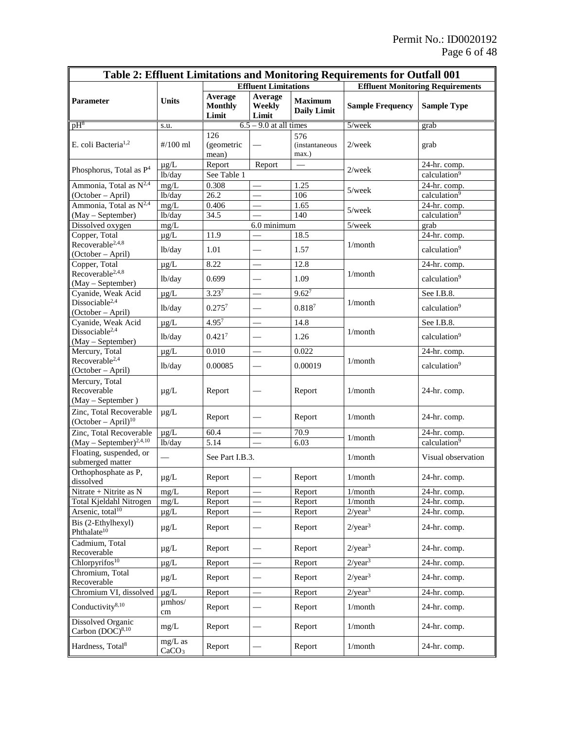| Table 2: Effluent Limitations and Monitoring Requirements for Outfall 001 |                                |                                    |                            |                                        |                                         |                                          |  |
|---------------------------------------------------------------------------|--------------------------------|------------------------------------|----------------------------|----------------------------------------|-----------------------------------------|------------------------------------------|--|
|                                                                           |                                | <b>Effluent Limitations</b>        |                            |                                        | <b>Effluent Monitoring Requirements</b> |                                          |  |
| Parameter                                                                 | <b>Units</b>                   | Average<br><b>Monthly</b><br>Limit | Average<br>Weekly<br>Limit | <b>Maximum</b><br><b>Daily Limit</b>   | <b>Sample Frequency</b>                 | <b>Sample Type</b>                       |  |
| pH <sub>8</sub>                                                           | s.u.                           |                                    | $6.5 - 9.0$ at all times   |                                        | $5$ /week                               | grab                                     |  |
| E. coli Bacteria <sup>1,2</sup>                                           | $#/100$ ml                     | 126<br>(geometric<br>mean)         |                            | 576<br><i>(instantaneous)</i><br>max.) | $2$ /week                               | grab                                     |  |
| Phosphorus, Total as P <sup>4</sup>                                       | $\mu$ g/L<br>lb/day            | Report<br>See Table 1              | Report                     |                                        | $2$ /week                               | 24-hr. comp.<br>calculation <sup>9</sup> |  |
| Ammonia, Total as $N^{2,4}$                                               | mg/L                           | 0.308                              |                            | 1.25                                   |                                         | 24-hr. comp.                             |  |
| (October - April)                                                         | lb/day                         | 26.2                               |                            | 106                                    | $5$ /week                               | calculation <sup>9</sup>                 |  |
| Ammonia, Total as N <sup>2,4</sup>                                        | mg/L                           | 0.406                              |                            | 1.65                                   |                                         | 24-hr. comp.                             |  |
| (May - September)                                                         | lb/day                         | 34.5                               |                            | 140                                    | $5$ /wee $k$                            | calculation <sup>9</sup>                 |  |
| Dissolved oxygen                                                          | mg/L                           |                                    | 6.0 minimum                |                                        | 5/week                                  | grab                                     |  |
| Copper, Total                                                             | $\mu$ g/L                      | 11.9                               |                            | 18.5                                   |                                         | 24-hr. comp.                             |  |
| Recoverable <sup>2,4,8</sup><br>(October - April)                         | lb/day                         | 1.01                               |                            | 1.57                                   | 1/month                                 | calculation <sup>9</sup>                 |  |
| Copper, Total                                                             | $\mu g/L$                      | 8.22                               |                            | 12.8                                   |                                         | 24-hr. comp.                             |  |
| $Recoverable^{2,4,8}$<br>(May - September)                                | lb/day                         | 0.699                              |                            | 1.09                                   | 1/month                                 | calculation <sup>9</sup>                 |  |
| Cyanide, Weak Acid                                                        | $\mu g/L$                      | $3.23^{7}$                         |                            | $9.62^{7}$                             |                                         | See I.B.8.                               |  |
| Dissociable <sup>2,4</sup><br>(October – April)                           | lb/day                         | $0.275^{7}$                        |                            | $0.818^{7}$                            | 1/month                                 | calculation <sup>9</sup>                 |  |
| Cyanide, Weak Acid                                                        | $\mu$ g/L                      | $4.95^{7}$                         |                            | 14.8                                   |                                         | See I.B.8.                               |  |
| Dissociable <sup>2,4</sup><br>(May - September)                           | lb/day                         | 0.421 <sup>7</sup>                 |                            | 1.26                                   | 1/month                                 | calculation <sup>9</sup>                 |  |
| Mercury, Total                                                            | $\mu$ g/L                      | 0.010                              | $\overline{\phantom{0}}$   | 0.022                                  |                                         | 24-hr. comp.                             |  |
| Recoverable <sup>2,4</sup><br>(October - April)                           | lb/day                         | 0.00085                            | and a                      | 0.00019                                | $1/m$ onth                              | calculation <sup>9</sup>                 |  |
| Mercury, Total<br>Recoverable<br>(May - September)                        | $\mu$ g/L                      | Report                             |                            | Report                                 | 1/month                                 | 24-hr. comp.                             |  |
| Zinc, Total Recoverable<br>$(October - April)10$                          | $\mu g/L$                      | Report                             |                            | Report                                 | 1/month                                 | 24-hr. comp.                             |  |
| Zinc, Total Recoverable                                                   | $\mu g/L$                      | 60.4                               |                            | 70.9                                   | 1/month                                 | 24-hr. comp.                             |  |
| $(May - September)^{2,4,10}$                                              | lb/day                         | 5.14                               |                            | 6.03                                   |                                         | calculation <sup>9</sup>                 |  |
| Floating, suspended, or<br>submerged matter                               |                                | See Part I.B.3.                    |                            |                                        | 1/month                                 | Visual observation                       |  |
| Orthophosphate as P,<br>dissolved                                         | $\mu$ g/L                      | Report                             |                            | Report                                 | $1/m$ onth                              | 24-hr. comp.                             |  |
| Nitrate + Nitrite as N                                                    | mg/L                           | Report                             |                            | Report                                 | 1/month                                 | 24-hr. comp.                             |  |
| <b>Total Kjeldahl Nitrogen</b>                                            | mg/L                           | Report                             |                            | Report                                 | 1/month                                 | 24-hr. comp.                             |  |
| Arsenic, total <sup>10</sup>                                              | $\mu$ g/L                      | Report                             |                            | Report                                 | $2$ /year <sup>3</sup>                  | 24-hr. comp.                             |  |
| Bis (2-Ethylhexyl)<br>Phthalate <sup>10</sup>                             | $\mu$ g/L                      | Report                             |                            | Report                                 | $2$ /year <sup>3</sup>                  | 24-hr. comp.                             |  |
| Cadmium, Total<br>Recoverable                                             | $\mu$ g/L                      | Report                             |                            | Report                                 | $2$ /year <sup>3</sup>                  | 24-hr. comp.                             |  |
| Chlorpyrifos <sup>10</sup>                                                | $\mu g/L$                      | Report                             | $\overline{\phantom{0}}$   | Report                                 | $2/\text{year}^3$                       | 24-hr. comp.                             |  |
| Chromium, Total<br>Recoverable                                            | $\mu$ g/L                      | Report                             |                            | Report                                 | 2/year <sup>3</sup>                     | 24-hr. comp.                             |  |
| Chromium VI, dissolved                                                    | $\mu$ g/L                      | Report                             | -                          | Report                                 | 2/year <sup>3</sup>                     | 24-hr. comp.                             |  |
| Conductivity <sup>8,10</sup>                                              | $\mu$ mhos/<br>cm              | Report                             |                            | Report                                 | 1/month                                 | 24-hr. comp.                             |  |
| Dissolved Organic<br>Carbon $(DOC)^{8,10}$                                | mg/L                           | Report                             |                            | Report                                 | 1/month                                 | 24-hr. comp.                             |  |
| Hardness, Total <sup>8</sup>                                              | $mg/L$ as<br>CaCO <sub>3</sub> | Report                             |                            | Report                                 | 1/month                                 | 24-hr. comp.                             |  |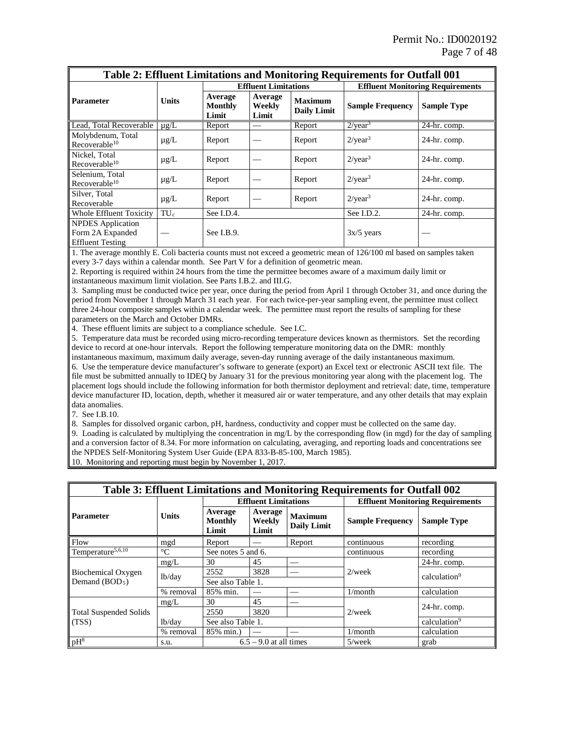| Table 2: Effluent Limitations and Monitoring Requirements for Outfall 001 |                 |                                    |                            |                                      |                                         |                            |  |
|---------------------------------------------------------------------------|-----------------|------------------------------------|----------------------------|--------------------------------------|-----------------------------------------|----------------------------|--|
|                                                                           | <b>Units</b>    | <b>Effluent Limitations</b>        |                            |                                      | <b>Effluent Monitoring Requirements</b> |                            |  |
| <b>Parameter</b>                                                          |                 | Average<br><b>Monthly</b><br>Limit | Average<br>Weekly<br>Limit | <b>Maximum</b><br><b>Daily Limit</b> | <b>Sample Frequency</b>                 | <b>Sample Type</b>         |  |
| Lead, Total Recoverable                                                   | $\mu$ g/L       | Report                             |                            | Report                               | $2$ /year <sup>3</sup>                  | $\overline{24}$ -hr. comp. |  |
| Molybdenum, Total<br>Recoverable $10$                                     | $\mu$ g/L       | Report                             |                            | Report                               | $2/$ year <sup>3</sup>                  | 24-hr. comp.               |  |
| Nickel, Total<br>Recoverable $10$                                         | $\mu$ g/L       | Report                             |                            | Report                               | $2$ /year <sup>3</sup>                  | $24-hr.$ comp.             |  |
| Selenium, Total<br>Recoverable $10$                                       | $\mu$ g/L       | Report                             |                            | Report                               | $2$ /year <sup>3</sup>                  | $24-hr.$ comp.             |  |
| Silver, Total<br>Recoverable                                              | $\mu$ g/L       | Report                             |                            | Report                               | $2$ /year <sup>3</sup>                  | 24-hr. comp.               |  |
| <b>Whole Effluent Toxicity</b>                                            | TU <sub>c</sub> | See I.D.4.                         |                            |                                      | See I.D.2.                              | 24-hr. comp.               |  |
| NPDES Application<br>Form 2A Expanded<br><b>Effluent Testing</b>          |                 | See $I.B.9.$                       |                            |                                      | $3x/5$ years                            |                            |  |

1. The average monthly E. Coli bacteria counts must not exceed a geometric mean of 126/100 ml based on samples taken every 3-7 days within a calendar month. See Part V for a definition of geometric mean.

2. Reporting is required within 24 hours from the time the permittee becomes aware of a maximum daily limit or instantaneous maximum limit violation. See Parts I.B.2. and III.G.

3. Sampling must be conducted twice per year, once during the period from April 1 through October 31, and once during the period from November 1 through March 31 each year. For each twice-per-year sampling event, the permittee must collect three 24-hour composite samples within a calendar week. The permittee must report the results of sampling for these parameters on the March and October DMRs.

4. These effluent limits are subject to a compliance schedule. See I.C.

5. Temperature data must be recorded using micro-recording temperature devices known as thermistors. Set the recording device to record at one-hour intervals. Report the following temperature monitoring data on the DMR: monthly

instantaneous maximum, maximum daily average, seven-day running average of the daily instantaneous maximum. 6. Use the temperature device manufacturer's software to generate (export) an Excel text or electronic ASCII text file. The file must be submitted annually to IDEQ by January 31 for the previous monitoring year along with the placement log. The placement logs should include the following information for both thermistor deployment and retrieval: date, time, temperature device manufacturer ID, location, depth, whether it measured air or water temperature, and any other details that may explain data anomalies.

7. See I.B.10.

8. Samples for dissolved organic carbon, pH, hardness, conductivity and copper must be collected on the same day.

9. Loading is calculated by multiplying the concentration in mg/L by the corresponding flow (in mgd) for the day of sampling and a conversion factor of 8.34. For more information on calculating, averaging, and reporting loads and concentrations see the NPDES Self-Monitoring System User Guide (EPA 833-B-85-100, March 1985).

10. Monitoring and reporting must begin by November 1, 2017.

| Table 3: Effluent Limitations and Monitoring Requirements for Outfall 002 |                 |                                    |                            |                                      |                         |                                         |
|---------------------------------------------------------------------------|-----------------|------------------------------------|----------------------------|--------------------------------------|-------------------------|-----------------------------------------|
|                                                                           | <b>Units</b>    | <b>Effluent Limitations</b>        |                            |                                      |                         | <b>Effluent Monitoring Requirements</b> |
| <b>Parameter</b>                                                          |                 | Average<br><b>Monthly</b><br>Limit | Average<br>Weekly<br>Limit | <b>Maximum</b><br><b>Daily Limit</b> | <b>Sample Frequency</b> | <b>Sample Type</b>                      |
| Flow                                                                      | mgd             | Report                             |                            | Report                               | continuous              | recording                               |
| Temperature <sup>5,6,10</sup>                                             | $\rm ^{\circ}C$ | See notes 5 and 6.                 |                            |                                      | continuous              | recording                               |
|                                                                           | mg/L            | 30                                 | 45                         |                                      |                         | 24-hr. comp.                            |
| <b>Biochemical Oxygen</b>                                                 | lb/day          | 2552                               | 3828                       |                                      | $2$ /week               | calculation <sup>9</sup>                |
| Demand $(BOD5)$                                                           |                 | See also Table 1.                  |                            |                                      |                         |                                         |
|                                                                           | % removal       | 85% min.                           |                            |                                      | 1/month                 | calculation                             |
| <b>Total Suspended Solids</b><br>(TSS)                                    | mg/L            | 30                                 | 45                         |                                      |                         |                                         |
|                                                                           |                 | 2550                               | 3820                       |                                      | $2$ /week               | 24-hr. comp.                            |
|                                                                           | lb/day          | See also Table 1.                  |                            |                                      |                         | calculation <sup>9</sup>                |
|                                                                           | % removal       | 85% min.)                          |                            |                                      | 1/month                 | calculation                             |
| $pH^8$                                                                    | s.u.            |                                    | $6.5 - 9.0$ at all times   |                                      | $5$ /week               | grab                                    |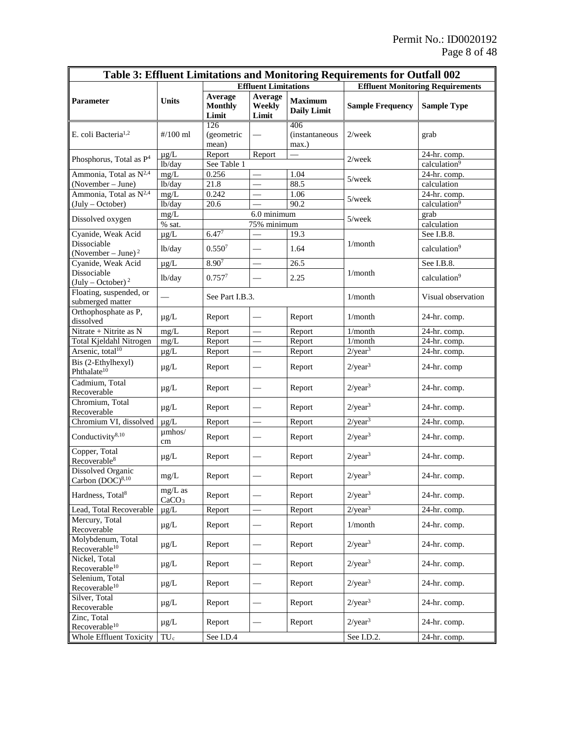| Table 3: Effluent Limitations and Monitoring Requirements for Outfall 002 |                                |                                    |                            |                                         |                              |                            |  |
|---------------------------------------------------------------------------|--------------------------------|------------------------------------|----------------------------|-----------------------------------------|------------------------------|----------------------------|--|
|                                                                           | <b>Effluent Limitations</b>    |                                    |                            | <b>Effluent Monitoring Requirements</b> |                              |                            |  |
| <b>Parameter</b>                                                          | <b>Units</b>                   | Average<br><b>Monthly</b><br>Limit | Average<br>Weekly<br>Limit | <b>Maximum</b><br><b>Daily Limit</b>    | <b>Sample Frequency</b>      | <b>Sample Type</b>         |  |
| E. coli Bacteria <sup>1,2</sup>                                           | $\frac{\#}{100}$ ml            | 126<br>(geometric<br>mean)         |                            | 406<br>(instantaneous<br>max.)          | $2$ /week                    | grab                       |  |
| Phosphorus, Total as P <sup>4</sup>                                       | $\mu$ g/L                      | Report                             | Report                     |                                         | $2$ /week                    | 24-hr. comp.               |  |
|                                                                           | lb/day                         | See Table 1                        |                            |                                         |                              | calculation <sup>9</sup>   |  |
| Ammonia, Total as $N^{2,4}$                                               | mg/L                           | 0.256                              |                            | 1.04                                    | $5$ /wee $k$                 | 24-hr. comp.               |  |
| (November – June)                                                         | lb/day                         | 21.8                               |                            | 88.5                                    |                              | calculation                |  |
| Ammonia, Total as $N^{2,4}$                                               | mg/L                           | 0.242                              |                            | 1.06                                    | $5$ /wee $k$                 | 24-hr. comp.               |  |
| (July - October)                                                          | lb/day                         | 20.6                               |                            | 90.2                                    |                              | calculation <sup>9</sup>   |  |
| Dissolved oxygen                                                          | mg/L                           |                                    | 6.0 minimum                |                                         | 5/week                       | grab                       |  |
| Cyanide, Weak Acid                                                        | $\%$ sat.                      | $6.47^{7}$                         | 75% minimum                |                                         |                              | calculation<br>See I.B.8.  |  |
| Dissociable                                                               | $\mu$ g/L                      |                                    |                            | 19.3                                    | 1/month                      |                            |  |
| (November – June) $^2$                                                    | lb/day                         | 0.550 <sup>7</sup>                 |                            | 1.64                                    |                              | calculation <sup>9</sup>   |  |
| Cyanide, Weak Acid                                                        | $\mu g/L$                      | 8.907                              |                            | 26.5                                    |                              | See I.B.8.                 |  |
| Dissociable<br>$(July - October)^2$                                       | lb/day                         | $0.757^{7}$                        |                            | 2.25                                    | $1/m$ onth                   | calculation <sup>9</sup>   |  |
| Floating, suspended, or<br>submerged matter                               |                                | See Part I.B.3.                    |                            |                                         | 1/month                      | Visual observation         |  |
| Orthophosphate as P,<br>dissolved                                         | $\mu$ g/L                      | Report                             |                            | Report                                  | 1/month                      | 24-hr. comp.               |  |
| Nitrate + Nitrite as N                                                    | mg/L                           | Report                             | $\overline{\phantom{0}}$   | Report                                  | 1/month                      | 24-hr. comp.               |  |
| Total Kjeldahl Nitrogen                                                   | mg/L                           | Report                             |                            | Report                                  | 1/month                      | 24-hr. comp.               |  |
| Arsenic, total <sup>10</sup>                                              | $\mu$ g/L                      | Report                             |                            | Report                                  | $2$ /year <sup>3</sup>       | 24-hr. comp.               |  |
| Bis (2-Ethylhexyl)<br>Phthalate <sup>10</sup>                             | $\mu$ g/L                      | Report                             |                            | Report                                  | $2$ /year <sup>3</sup>       | 24-hr. comp                |  |
| Cadmium, Total<br>Recoverable                                             | $\mu$ g/L                      | Report                             |                            | Report                                  | 2/year <sup>3</sup>          | 24-hr. comp.               |  |
| Chromium, Total<br>Recoverable                                            | $\mu$ g/L                      | Report                             | $\overline{\phantom{0}}$   | Report                                  | $2$ /year <sup>3</sup>       | 24-hr. comp.               |  |
| Chromium VI, dissolved                                                    | $\mu$ g/L                      | Report                             |                            | Report                                  | $2$ /year <sup>3</sup>       | 24-hr. comp.               |  |
| Conductivity <sup>8,10</sup>                                              | $\mu$ mhos/<br>cm              | Report                             |                            | Report                                  | $2$ /year <sup>3</sup>       | 24-hr. comp.               |  |
| Copper, Total<br>Recoverable <sup>8</sup>                                 | $\mu$ g/L                      | Report                             | $\overline{\phantom{0}}$   | Report                                  | $2$ /year <sup>3</sup>       | 24-hr. comp.               |  |
| <b>Dissolved Organic</b><br>Carbon $(DOC)^{8,10}$                         | mg/L                           | Report                             |                            | Report                                  | 2/year <sup>3</sup>          | 24-hr. comp.               |  |
| Hardness, Total <sup>8</sup>                                              | $mg/L$ as<br>CaCO <sub>3</sub> | Report                             |                            | Report                                  | $2/\text{year}^3$            | 24-hr. comp.               |  |
| Lead, Total Recoverable                                                   | $\mu$ g/L                      | Report                             |                            | Report                                  | $2/\overline{\text{year}^3}$ | 24-hr. comp.               |  |
| Mercury, Total<br>Recoverable                                             | $\mu$ g/L                      | Report                             |                            | Report                                  | 1/month                      | 24-hr. comp.               |  |
| Molybdenum, Total<br>Recoverable <sup>10</sup>                            | $\mu$ g/L                      | Report                             |                            | Report                                  | $2$ /year <sup>3</sup>       | 24-hr. comp.               |  |
| Nickel, Total<br>Recoverable <sup>10</sup>                                | $\mu$ g/L                      | Report                             |                            | Report                                  | $2$ /year <sup>3</sup>       | 24-hr. comp.               |  |
| Selenium, Total<br>Recoverable <sup>10</sup>                              | $\mu$ g/L                      | Report                             |                            | Report                                  | $2/\text{year}^3$            | 24-hr. comp.               |  |
| Silver, Total<br>Recoverable                                              | $\mu$ g/L                      | Report                             |                            | Report                                  | $2$ /year <sup>3</sup>       | 24-hr. comp.               |  |
| Zinc, Total<br>Recoverable <sup>10</sup>                                  | $\mu$ g/L                      | Report                             |                            | Report                                  | $2/\text{year}^3$            | 24-hr. comp.               |  |
| Whole Effluent Toxicity                                                   | $TU_c$                         | See I.D.4                          |                            |                                         | See I.D.2.                   | $\overline{24}$ -hr. comp. |  |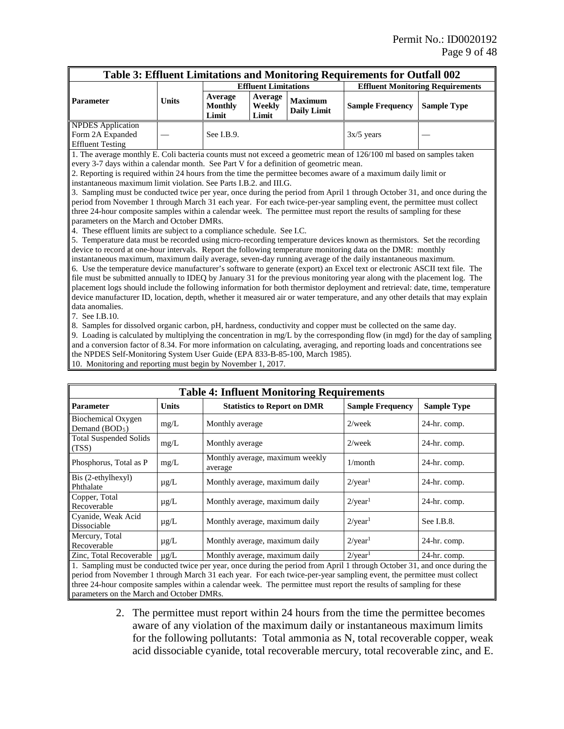| Table 3: Effluent Limitations and Monitoring Requirements for Outfall 002 |       |                                    |                            |                               |                                         |                    |
|---------------------------------------------------------------------------|-------|------------------------------------|----------------------------|-------------------------------|-----------------------------------------|--------------------|
|                                                                           |       | <b>Effluent Limitations</b>        |                            |                               | <b>Effluent Monitoring Requirements</b> |                    |
| <b>Parameter</b>                                                          | Units | Average<br><b>Monthly</b><br>Limit | Average<br>Weekly<br>Limit | <b>Maximum</b><br>Daily Limit | <b>Sample Frequency</b>                 | <b>Sample Type</b> |
| <b>NPDES</b> Application<br>Form 2A Expanded<br><b>Effluent Testing</b>   |       | See I.B.9.                         |                            |                               | $3x/5$ years                            |                    |

1. The average monthly E. Coli bacteria counts must not exceed a geometric mean of 126/100 ml based on samples taken every 3-7 days within a calendar month. See Part V for a definition of geometric mean.

2. Reporting is required within 24 hours from the time the permittee becomes aware of a maximum daily limit or instantaneous maximum limit violation. See Parts I.B.2. and III.G.

3. Sampling must be conducted twice per year, once during the period from April 1 through October 31, and once during the period from November 1 through March 31 each year. For each twice-per-year sampling event, the permittee must collect three 24-hour composite samples within a calendar week. The permittee must report the results of sampling for these parameters on the March and October DMRs.

4. These effluent limits are subject to a compliance schedule. See I.C.

5. Temperature data must be recorded using micro-recording temperature devices known as thermistors. Set the recording device to record at one-hour intervals. Report the following temperature monitoring data on the DMR: monthly

instantaneous maximum, maximum daily average, seven-day running average of the daily instantaneous maximum. 6. Use the temperature device manufacturer's software to generate (export) an Excel text or electronic ASCII text file. The file must be submitted annually to IDEQ by January 31 for the previous monitoring year along with the placement log. The placement logs should include the following information for both thermistor deployment and retrieval: date, time, temperature device manufacturer ID, location, depth, whether it measured air or water temperature, and any other details that may explain data anomalies.

7. See I.B.10.

8. Samples for dissolved organic carbon, pH, hardness, conductivity and copper must be collected on the same day.

9. Loading is calculated by multiplying the concentration in mg/L by the corresponding flow (in mgd) for the day of sampling and a conversion factor of 8.34. For more information on calculating, averaging, and reporting loads and concentrations see the NPDES Self-Monitoring System User Guide (EPA 833-B-85-100, March 1985).

10. Monitoring and reporting must begin by November 1, 2017.

| <b>Table 4: Influent Monitoring Requirements</b> |              |                                                                                                                           |                         |                    |  |  |
|--------------------------------------------------|--------------|---------------------------------------------------------------------------------------------------------------------------|-------------------------|--------------------|--|--|
| <b>Parameter</b>                                 | <b>Units</b> | <b>Statistics to Report on DMR</b>                                                                                        | <b>Sample Frequency</b> | <b>Sample Type</b> |  |  |
| <b>Biochemical Oxygen</b><br>Demand $(BOD5)$     | mg/L         | Monthly average                                                                                                           | $2$ /week               | 24-hr. comp.       |  |  |
| <b>Total Suspended Solids</b><br>(TSS)           | mg/L         | Monthly average                                                                                                           | $2$ /week               | $24-hr.$ comp.     |  |  |
| Phosphorus, Total as P                           | mg/L         | Monthly average, maximum weekly<br>average                                                                                | 1/month                 | $24-hr.$ comp.     |  |  |
| Bis (2-ethylhexyl)<br>Phthalate                  | $\mu$ g/L    | Monthly average, maximum daily                                                                                            | $2$ /year <sup>1</sup>  | $24-hr.$ comp.     |  |  |
| Copper, Total<br>Recoverable                     | $\mu$ g/L    | Monthly average, maximum daily                                                                                            | $2$ /year <sup>1</sup>  | 24-hr. comp.       |  |  |
| Cyanide, Weak Acid<br>Dissociable                | $\mu$ g/L    | Monthly average, maximum daily                                                                                            | $2$ /year <sup>1</sup>  | See $I.B.8$ .      |  |  |
| Mercury, Total<br>Recoverable                    | $\mu$ g/L    | Monthly average, maximum daily                                                                                            | $2$ /year <sup>1</sup>  | 24-hr. comp.       |  |  |
| Zinc, Total Recoverable                          | $\mu$ g/L    | Monthly average, maximum daily                                                                                            | $2$ /year <sup>1</sup>  | 24-hr. comp.       |  |  |
|                                                  |              | 1. Sampling must be conducted twice per year, once during the period from April 1 through October 31, and once during the |                         |                    |  |  |

1. Sampling must be conducted twice per year, once during the period from April 1 through October 31, and once during the period from November 1 through March 31 each year. For each twice-per-year sampling event, the permittee must collect three 24-hour composite samples within a calendar week. The permittee must report the results of sampling for these parameters on the March and October DMRs.

> 2. The permittee must report within 24 hours from the time the permittee becomes aware of any violation of the maximum daily or instantaneous maximum limits for the following pollutants: Total ammonia as N, total recoverable copper, weak acid dissociable cyanide, total recoverable mercury, total recoverable zinc, and E.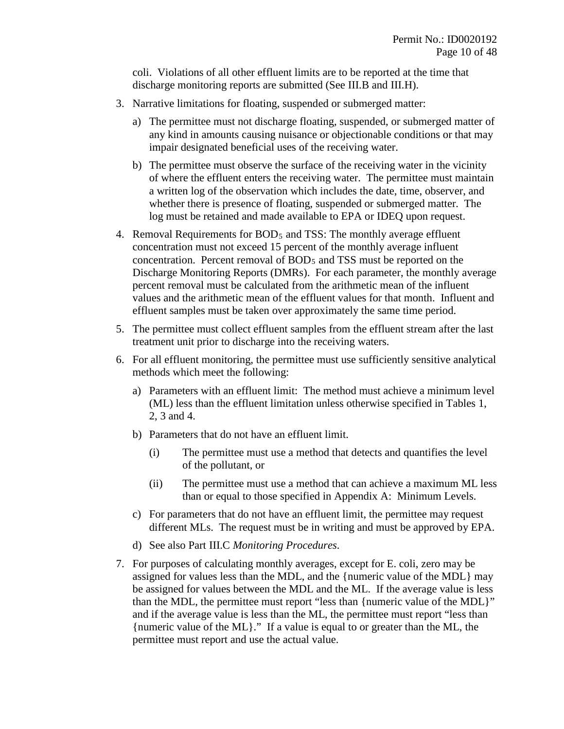coli. Violations of all other effluent limits are to be reported at the time that discharge monitoring reports are submitted (See III.B and III.H).

- 3. Narrative limitations for floating, suspended or submerged matter:
	- a) The permittee must not discharge floating, suspended, or submerged matter of any kind in amounts causing nuisance or objectionable conditions or that may impair designated beneficial uses of the receiving water.
	- b) The permittee must observe the surface of the receiving water in the vicinity of where the effluent enters the receiving water. The permittee must maintain a written log of the observation which includes the date, time, observer, and whether there is presence of floating, suspended or submerged matter. The log must be retained and made available to EPA or IDEQ upon request.
- 4. Removal Requirements for BOD5 and TSS: The monthly average effluent concentration must not exceed 15 percent of the monthly average influent concentration. Percent removal of BOD<sub>5</sub> and TSS must be reported on the Discharge Monitoring Reports (DMRs). For each parameter, the monthly average percent removal must be calculated from the arithmetic mean of the influent values and the arithmetic mean of the effluent values for that month. Influent and effluent samples must be taken over approximately the same time period.
- 5. The permittee must collect effluent samples from the effluent stream after the last treatment unit prior to discharge into the receiving waters.
- 6. For all effluent monitoring, the permittee must use sufficiently sensitive analytical methods which meet the following:
	- a) Parameters with an effluent limit: The method must achieve a minimum level (ML) less than the effluent limitation unless otherwise specified in Tables 1, 2, 3 and 4.
	- b) Parameters that do not have an effluent limit.
		- (i) The permittee must use a method that detects and quantifies the level of the pollutant, or
		- (ii) The permittee must use a method that can achieve a maximum ML less than or equal to those specified in Appendix A: Minimum Levels.
	- c) For parameters that do not have an effluent limit, the permittee may request different MLs. The request must be in writing and must be approved by EPA.
	- d) See also Part III.C *Monitoring Procedures*.
- 7. For purposes of calculating monthly averages, except for E. coli, zero may be assigned for values less than the MDL, and the {numeric value of the MDL} may be assigned for values between the MDL and the ML. If the average value is less than the MDL, the permittee must report "less than {numeric value of the MDL}" and if the average value is less than the ML, the permittee must report "less than {numeric value of the ML}." If a value is equal to or greater than the ML, the permittee must report and use the actual value.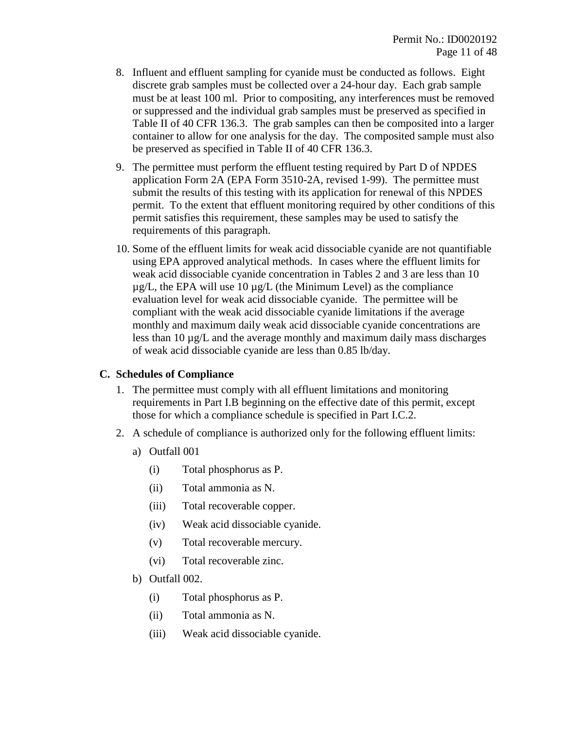- 8. Influent and effluent sampling for cyanide must be conducted as follows. Eight discrete grab samples must be collected over a 24-hour day. Each grab sample must be at least 100 ml. Prior to compositing, any interferences must be removed or suppressed and the individual grab samples must be preserved as specified in Table II of 40 CFR 136.3. The grab samples can then be composited into a larger container to allow for one analysis for the day. The composited sample must also be preserved as specified in Table II of 40 CFR 136.3.
- 9. The permittee must perform the effluent testing required by Part D of NPDES application Form 2A (EPA Form 3510-2A, revised 1-99). The permittee must submit the results of this testing with its application for renewal of this NPDES permit. To the extent that effluent monitoring required by other conditions of this permit satisfies this requirement, these samples may be used to satisfy the requirements of this paragraph.
- 10. Some of the effluent limits for weak acid dissociable cyanide are not quantifiable using EPA approved analytical methods. In cases where the effluent limits for weak acid dissociable cyanide concentration in Tables 2 and 3 are less than 10  $\mu$ g/L, the EPA will use 10  $\mu$ g/L (the Minimum Level) as the compliance evaluation level for weak acid dissociable cyanide. The permittee will be compliant with the weak acid dissociable cyanide limitations if the average monthly and maximum daily weak acid dissociable cyanide concentrations are less than 10 µg/L and the average monthly and maximum daily mass discharges of weak acid dissociable cyanide are less than 0.85 lb/day.

#### **C. Schedules of Compliance**

- 1. The permittee must comply with all effluent limitations and monitoring requirements in Part I.B beginning on the effective date of this permit, except those for which a compliance schedule is specified in Part I.C.2.
- 2. A schedule of compliance is authorized only for the following effluent limits:
	- a) Outfall 001
		- (i) Total phosphorus as P.
		- (ii) Total ammonia as N.
		- (iii) Total recoverable copper.
		- (iv) Weak acid dissociable cyanide.
		- (v) Total recoverable mercury.
		- (vi) Total recoverable zinc.
	- b) Outfall 002.
		- (i) Total phosphorus as P.
		- (ii) Total ammonia as N.
		- (iii) Weak acid dissociable cyanide.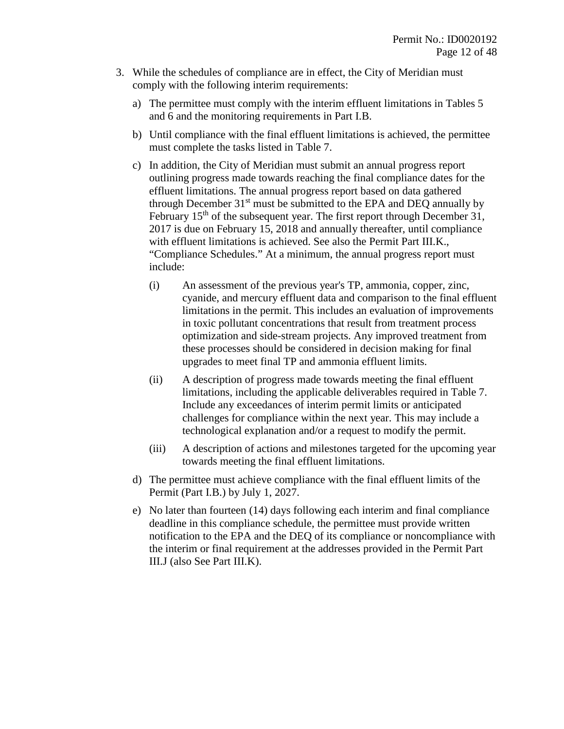- 3. While the schedules of compliance are in effect, the City of Meridian must comply with the following interim requirements:
	- a) The permittee must comply with the interim effluent limitations in Tables 5 and 6 and the monitoring requirements in Part I.B.
	- b) Until compliance with the final effluent limitations is achieved, the permittee must complete the tasks listed in Table 7.
	- c) In addition, the City of Meridian must submit an annual progress report outlining progress made towards reaching the final compliance dates for the effluent limitations. The annual progress report based on data gathered through December 31<sup>st</sup> must be submitted to the EPA and DEO annually by February  $15<sup>th</sup>$  of the subsequent year. The first report through December 31, 2017 is due on February 15, 2018 and annually thereafter, until compliance with effluent limitations is achieved. See also the Permit Part III.K., "Compliance Schedules." At a minimum, the annual progress report must include:
		- (i) An assessment of the previous year's TP, ammonia, copper, zinc, cyanide, and mercury effluent data and comparison to the final effluent limitations in the permit. This includes an evaluation of improvements in toxic pollutant concentrations that result from treatment process optimization and side-stream projects. Any improved treatment from these processes should be considered in decision making for final upgrades to meet final TP and ammonia effluent limits.
		- (ii) A description of progress made towards meeting the final effluent limitations, including the applicable deliverables required in Table 7. Include any exceedances of interim permit limits or anticipated challenges for compliance within the next year. This may include a technological explanation and/or a request to modify the permit.
		- (iii) A description of actions and milestones targeted for the upcoming year towards meeting the final effluent limitations.
	- d) The permittee must achieve compliance with the final effluent limits of the Permit (Part I.B.) by July 1, 2027.
	- e) No later than fourteen (14) days following each interim and final compliance deadline in this compliance schedule, the permittee must provide written notification to the EPA and the DEQ of its compliance or noncompliance with the interim or final requirement at the addresses provided in the Permit Part III.J (also See Part III.K).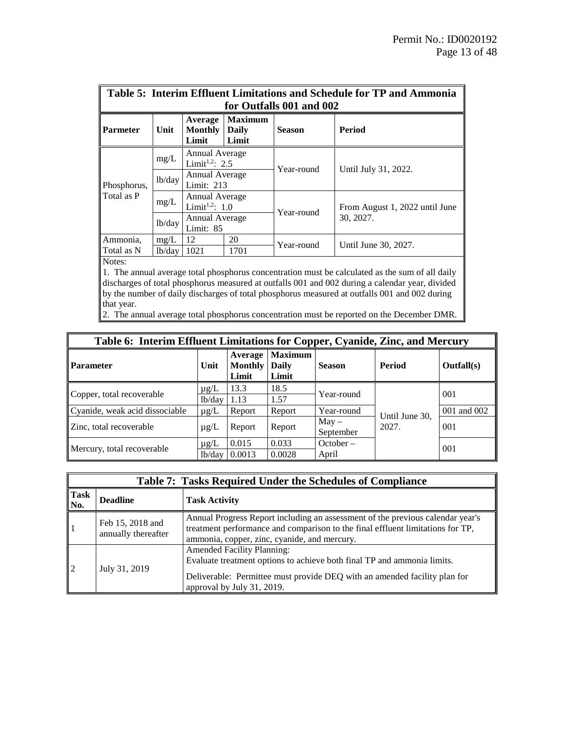| Table 5: Interim Effluent Limitations and Schedule for TP and Ammonia                                       |        |                                              |                                  |                          |                                             |  |
|-------------------------------------------------------------------------------------------------------------|--------|----------------------------------------------|----------------------------------|--------------------------|---------------------------------------------|--|
| for Outfalls 001 and 002                                                                                    |        |                                              |                                  |                          |                                             |  |
| <b>Parmeter</b>                                                                                             | Unit   | Average<br><b>Monthly</b><br>Limit           | <b>Maximum</b><br>Daily<br>Limit | <b>Season</b>            | Period                                      |  |
| Phosphorus,<br>Total as P                                                                                   | mg/L   | Annual Average<br>Limit <sup>1,2</sup> : 2.5 |                                  | Year-round<br>Year-round | Until July 31, 2022.                        |  |
|                                                                                                             | lb/day | Annual Average<br>Limit: 213                 |                                  |                          |                                             |  |
|                                                                                                             | mg/L   | Annual Average<br>Limit <sup>1,2</sup> : 1.0 |                                  |                          | From August 1, 2022 until June<br>30, 2027. |  |
|                                                                                                             | lb/day | Annual Average<br>Limit: 85                  |                                  |                          |                                             |  |
| Ammonia,                                                                                                    | mg/L   | 12                                           | 20                               | Year-round               |                                             |  |
| Total as N                                                                                                  | lb/day | 1021                                         | 1701                             |                          | Until June 30, 2027.                        |  |
| Notes:                                                                                                      |        |                                              |                                  |                          |                                             |  |
| $\parallel$ 1. The annual average total phosphorus concentration must be calculated as the sum of all daily |        |                                              |                                  |                          |                                             |  |
| discharges of total phosphorus measured at outfalls 001 and 002 during a calendar year, divided             |        |                                              |                                  |                          |                                             |  |

discharges of total phosphorus measured at outfalls 001 and 002 during a calendar year, divided by the number of daily discharges of total phosphorus measured at outfalls 001 and 002 during that year.

2. The annual average total phosphorus concentration must be reported on the December DMR.

| Table 6: Interim Effluent Limitations for Copper, Cyanide, Zinc, and Mercury |           |                                    |                                         |               |                |             |
|------------------------------------------------------------------------------|-----------|------------------------------------|-----------------------------------------|---------------|----------------|-------------|
| Parameter                                                                    | Unit      | Average<br><b>Monthly</b><br>Limit | <b>Maximum</b><br><b>Daily</b><br>Limit | <b>Season</b> | <b>Period</b>  | Outfall(s)  |
| Copper, total recoverable                                                    | $\mu$ g/L | 13.3                               | 18.5                                    | Year-round    |                | 001         |
|                                                                              | lb/day    | 1.13                               | 1.57                                    |               |                |             |
| Cyanide, weak acid dissociable                                               | $\mu$ g/L | Report                             | Report                                  | Year-round    | Until June 30, | 001 and 002 |
| Zinc, total recoverable                                                      | $\mu$ g/L | Report                             | Report                                  | $May -$       | 2027.          | 001         |
|                                                                              |           |                                    |                                         | September     |                |             |
|                                                                              | $\mu$ g/L | 0.015                              | 0.033                                   | October –     |                | 001         |
| Mercury, total recoverable                                                   | 1b/day    | 0.0013                             | 0.0028                                  | April         |                |             |

|                    | <b>Table 7: Tasks Required Under the Schedules of Compliance</b> |                                                                                                                                                                                                                         |  |  |  |
|--------------------|------------------------------------------------------------------|-------------------------------------------------------------------------------------------------------------------------------------------------------------------------------------------------------------------------|--|--|--|
| <b>Task</b><br>No. | <b>Deadline</b>                                                  | <b>Task Activity</b>                                                                                                                                                                                                    |  |  |  |
|                    | Feb 15, 2018 and<br>annually thereafter                          | Annual Progress Report including an assessment of the previous calendar year's<br>treatment performance and comparison to the final effluent limitations for TP,<br>ammonia, copper, zinc, cyanide, and mercury.        |  |  |  |
| $\overline{2}$     | July 31, 2019                                                    | <b>Amended Facility Planning:</b><br>Evaluate treatment options to achieve both final TP and ammonia limits.<br>Deliverable: Permittee must provide DEQ with an amended facility plan for<br>approval by July 31, 2019. |  |  |  |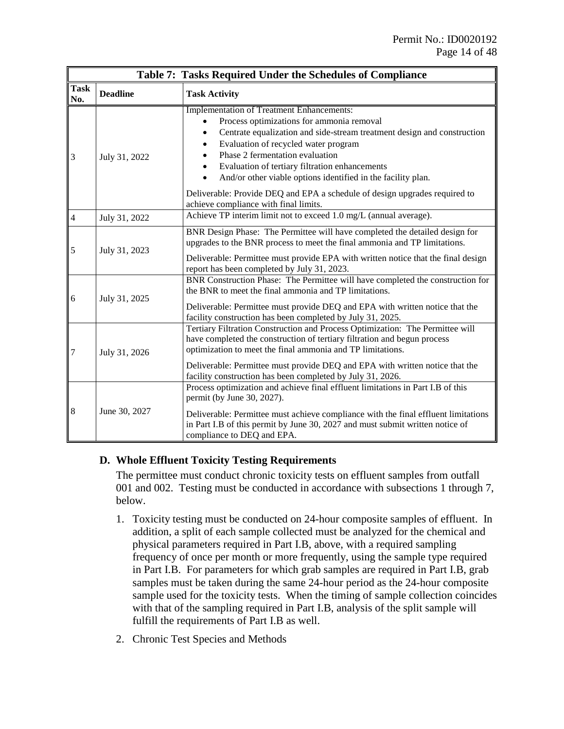|                    | Table 7: Tasks Required Under the Schedules of Compliance |                                                                                                                                                                                                                                                                                                                                                                                                                                                                                                                      |  |  |  |
|--------------------|-----------------------------------------------------------|----------------------------------------------------------------------------------------------------------------------------------------------------------------------------------------------------------------------------------------------------------------------------------------------------------------------------------------------------------------------------------------------------------------------------------------------------------------------------------------------------------------------|--|--|--|
| <b>Task</b><br>No. | <b>Deadline</b>                                           | <b>Task Activity</b>                                                                                                                                                                                                                                                                                                                                                                                                                                                                                                 |  |  |  |
| $\overline{3}$     | July 31, 2022                                             | <b>Implementation of Treatment Enhancements:</b><br>Process optimizations for ammonia removal<br>Centrate equalization and side-stream treatment design and construction<br>$\bullet$<br>Evaluation of recycled water program<br>$\bullet$<br>Phase 2 fermentation evaluation<br>$\bullet$<br>Evaluation of tertiary filtration enhancements<br>$\bullet$<br>And/or other viable options identified in the facility plan.<br>$\bullet$<br>Deliverable: Provide DEQ and EPA a schedule of design upgrades required to |  |  |  |
| $\overline{4}$     | July 31, 2022                                             | achieve compliance with final limits.<br>Achieve TP interim limit not to exceed 1.0 mg/L (annual average).                                                                                                                                                                                                                                                                                                                                                                                                           |  |  |  |
| 5                  | July 31, 2023                                             | BNR Design Phase: The Permittee will have completed the detailed design for<br>upgrades to the BNR process to meet the final ammonia and TP limitations.<br>Deliverable: Permittee must provide EPA with written notice that the final design<br>report has been completed by July 31, 2023.                                                                                                                                                                                                                         |  |  |  |
| 6                  | July 31, 2025                                             | BNR Construction Phase: The Permittee will have completed the construction for<br>the BNR to meet the final ammonia and TP limitations.<br>Deliverable: Permittee must provide DEQ and EPA with written notice that the<br>facility construction has been completed by July 31, 2025.                                                                                                                                                                                                                                |  |  |  |
| $\overline{7}$     | July 31, 2026                                             | Tertiary Filtration Construction and Process Optimization: The Permittee will<br>have completed the construction of tertiary filtration and begun process<br>optimization to meet the final ammonia and TP limitations.<br>Deliverable: Permittee must provide DEQ and EPA with written notice that the<br>facility construction has been completed by July 31, 2026.                                                                                                                                                |  |  |  |
| 8                  | June 30, 2027                                             | Process optimization and achieve final effluent limitations in Part I.B of this<br>permit (by June 30, 2027).<br>Deliverable: Permittee must achieve compliance with the final effluent limitations<br>in Part I.B of this permit by June 30, 2027 and must submit written notice of<br>compliance to DEQ and EPA.                                                                                                                                                                                                   |  |  |  |

#### **D. Whole Effluent Toxicity Testing Requirements**

The permittee must conduct chronic toxicity tests on effluent samples from outfall 001 and 002. Testing must be conducted in accordance with subsections 1 through 7, below.

- 1. Toxicity testing must be conducted on 24-hour composite samples of effluent. In addition, a split of each sample collected must be analyzed for the chemical and physical parameters required in Part I.B, above, with a required sampling frequency of once per month or more frequently, using the sample type required in Part I.B. For parameters for which grab samples are required in Part I.B, grab samples must be taken during the same 24-hour period as the 24-hour composite sample used for the toxicity tests. When the timing of sample collection coincides with that of the sampling required in Part I.B, analysis of the split sample will fulfill the requirements of Part I.B as well.
- 2. Chronic Test Species and Methods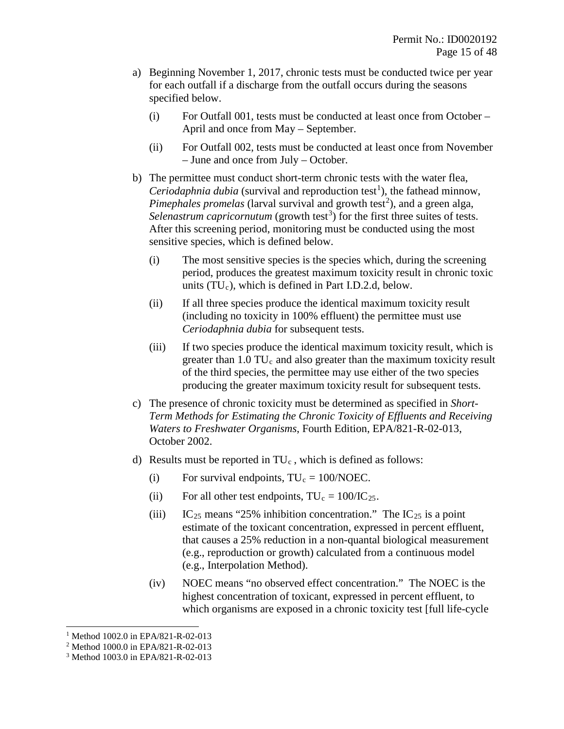- a) Beginning November 1, 2017, chronic tests must be conducted twice per year for each outfall if a discharge from the outfall occurs during the seasons specified below.
	- (i) For Outfall 001, tests must be conducted at least once from October April and once from May – September.
	- (ii) For Outfall 002, tests must be conducted at least once from November – June and once from July – October.
- b) The permittee must conduct short-term chronic tests with the water flea, *Ceriodaphnia dubia* (survival and reproduction test<sup>[1](#page-14-0)</sup>), the fathead minnow, Pimephales promelas (larval survival and growth test<sup>[2](#page-14-1)</sup>), and a green alga, Selenastrum capricornutum (growth test<sup>[3](#page-14-2)</sup>) for the first three suites of tests. After this screening period, monitoring must be conducted using the most sensitive species, which is defined below.
	- (i) The most sensitive species is the species which, during the screening period, produces the greatest maximum toxicity result in chronic toxic units  $(TU_c)$ , which is defined in Part I.D.2.d, below.
	- (ii) If all three species produce the identical maximum toxicity result (including no toxicity in 100% effluent) the permittee must use *Ceriodaphnia dubia* for subsequent tests.
	- (iii) If two species produce the identical maximum toxicity result, which is greater than  $1.0 \, \text{TU}_c$  and also greater than the maximum toxicity result of the third species, the permittee may use either of the two species producing the greater maximum toxicity result for subsequent tests.
- c) The presence of chronic toxicity must be determined as specified in *Short-Term Methods for Estimating the Chronic Toxicity of Effluents and Receiving Waters to Freshwater Organisms*, Fourth Edition, EPA/821-R-02-013, October 2002.
- d) Results must be reported in  $TU_c$ , which is defined as follows:
	- (i) For survival endpoints,  $TU_c = 100/NOEC$ .
	- (ii) For all other test endpoints,  $TU_c = 100/IC_{25}$ .
	- (iii) IC<sub>25</sub> means "25% inhibition concentration." The IC<sub>25</sub> is a point estimate of the toxicant concentration, expressed in percent effluent, that causes a 25% reduction in a non-quantal biological measurement (e.g., reproduction or growth) calculated from a continuous model (e.g., Interpolation Method).
	- (iv) NOEC means "no observed effect concentration." The NOEC is the highest concentration of toxicant, expressed in percent effluent, to which organisms are exposed in a chronic toxicity test [full life-cycle

 $\overline{a}$ <sup>1</sup> Method 1002.0 in EPA/821-R-02-013

<span id="page-14-1"></span><span id="page-14-0"></span><sup>&</sup>lt;sup>2</sup> Method 1000.0 in EPA/821-R-02-013

<span id="page-14-2"></span><sup>3</sup> Method 1003.0 in EPA/821-R-02-013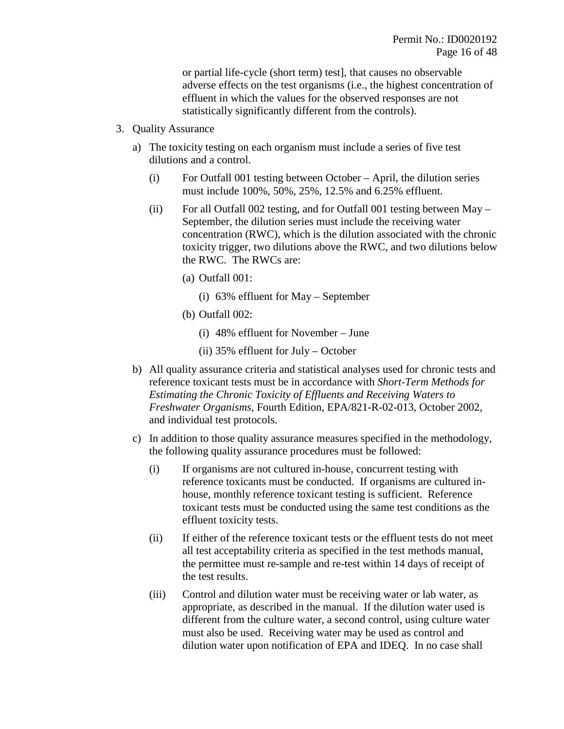or partial life-cycle (short term) test], that causes no observable adverse effects on the test organisms (i.e., the highest concentration of effluent in which the values for the observed responses are not statistically significantly different from the controls).

- 3. Quality Assurance
	- a) The toxicity testing on each organism must include a series of five test dilutions and a control.
		- (i) For Outfall 001 testing between October April, the dilution series must include 100%, 50%, 25%, 12.5% and 6.25% effluent.
		- (ii) For all Outfall 002 testing, and for Outfall 001 testing between May September, the dilution series must include the receiving water concentration (RWC), which is the dilution associated with the chronic toxicity trigger, two dilutions above the RWC, and two dilutions below the RWC. The RWCs are:
			- (a) Outfall 001:
				- (i) 63% effluent for May September
			- (b) Outfall 002:
				- (i) 48% effluent for November June
				- (ii) 35% effluent for July October
	- b) All quality assurance criteria and statistical analyses used for chronic tests and reference toxicant tests must be in accordance with *Short-Term Methods for Estimating the Chronic Toxicity of Effluents and Receiving Waters to Freshwater Organisms*, Fourth Edition, EPA/821-R-02-013, October 2002, and individual test protocols.
	- c) In addition to those quality assurance measures specified in the methodology, the following quality assurance procedures must be followed:
		- (i) If organisms are not cultured in-house, concurrent testing with reference toxicants must be conducted. If organisms are cultured inhouse, monthly reference toxicant testing is sufficient. Reference toxicant tests must be conducted using the same test conditions as the effluent toxicity tests.
		- (ii) If either of the reference toxicant tests or the effluent tests do not meet all test acceptability criteria as specified in the test methods manual, the permittee must re-sample and re-test within 14 days of receipt of the test results.
		- (iii) Control and dilution water must be receiving water or lab water, as appropriate, as described in the manual. If the dilution water used is different from the culture water, a second control, using culture water must also be used. Receiving water may be used as control and dilution water upon notification of EPA and IDEQ. In no case shall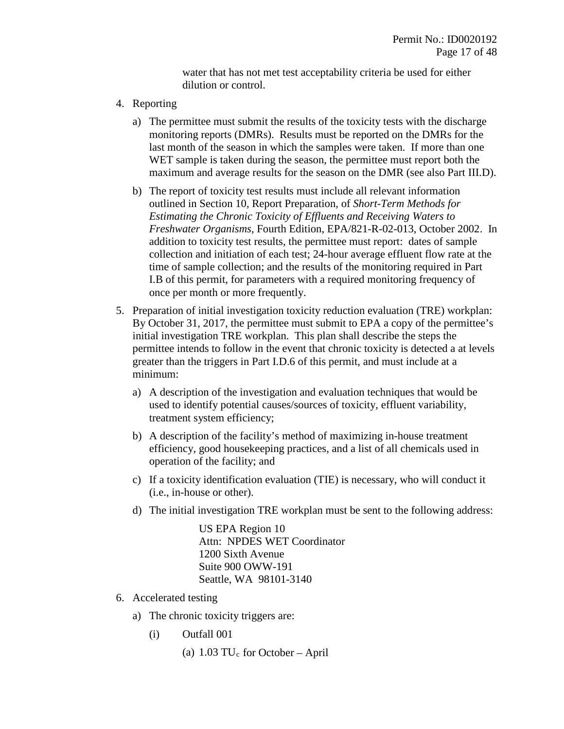water that has not met test acceptability criteria be used for either dilution or control.

- 4. Reporting
	- a) The permittee must submit the results of the toxicity tests with the discharge monitoring reports (DMRs). Results must be reported on the DMRs for the last month of the season in which the samples were taken. If more than one WET sample is taken during the season, the permittee must report both the maximum and average results for the season on the DMR (see also Part III.D).
	- b) The report of toxicity test results must include all relevant information outlined in Section 10, Report Preparation, of *Short-Term Methods for Estimating the Chronic Toxicity of Effluents and Receiving Waters to Freshwater Organisms*, Fourth Edition, EPA/821-R-02-013, October 2002. In addition to toxicity test results, the permittee must report: dates of sample collection and initiation of each test; 24-hour average effluent flow rate at the time of sample collection; and the results of the monitoring required in Part I.B of this permit, for parameters with a required monitoring frequency of once per month or more frequently.
- 5. Preparation of initial investigation toxicity reduction evaluation (TRE) workplan: By October 31, 2017, the permittee must submit to EPA a copy of the permittee's initial investigation TRE workplan. This plan shall describe the steps the permittee intends to follow in the event that chronic toxicity is detected a at levels greater than the triggers in Part I.D.6 of this permit, and must include at a minimum:
	- a) A description of the investigation and evaluation techniques that would be used to identify potential causes/sources of toxicity, effluent variability, treatment system efficiency;
	- b) A description of the facility's method of maximizing in-house treatment efficiency, good housekeeping practices, and a list of all chemicals used in operation of the facility; and
	- c) If a toxicity identification evaluation (TIE) is necessary, who will conduct it (i.e., in-house or other).
	- d) The initial investigation TRE workplan must be sent to the following address:

US EPA Region 10 Attn: NPDES WET Coordinator 1200 Sixth Avenue Suite 900 OWW-191 Seattle, WA 98101-3140

- 6. Accelerated testing
	- a) The chronic toxicity triggers are:
		- (i) Outfall 001
			- (a)  $1.03$  TU<sub>c</sub> for October April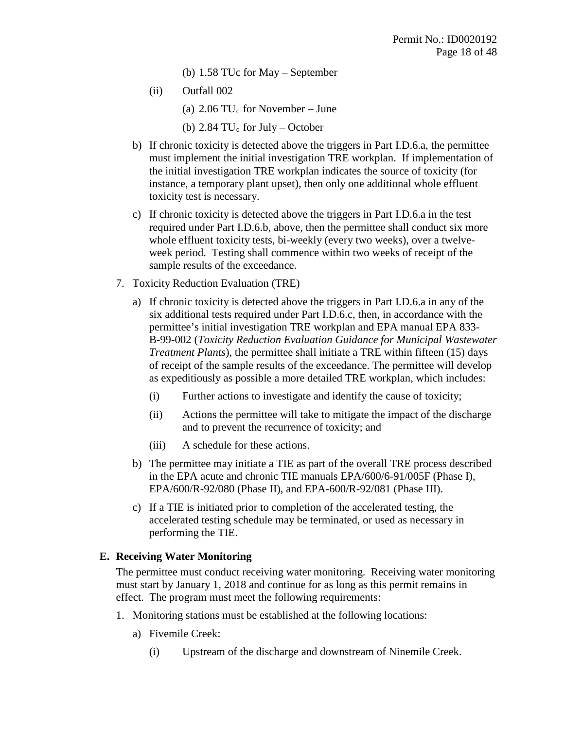- (b) 1.58 TUc for May September
- (ii) Outfall 002
	- (a)  $2.06 \text{ TU}_c$  for November June
	- (b)  $2.84 \text{ TU}_c$  for July October
- b) If chronic toxicity is detected above the triggers in Part I.D.6.a, the permittee must implement the initial investigation TRE workplan. If implementation of the initial investigation TRE workplan indicates the source of toxicity (for instance, a temporary plant upset), then only one additional whole effluent toxicity test is necessary.
- c) If chronic toxicity is detected above the triggers in Part I.D.6.a in the test required under Part I.D.6.b, above, then the permittee shall conduct six more whole effluent toxicity tests, bi-weekly (every two weeks), over a twelveweek period. Testing shall commence within two weeks of receipt of the sample results of the exceedance.
- 7. Toxicity Reduction Evaluation (TRE)
	- a) If chronic toxicity is detected above the triggers in Part I.D.6.a in any of the six additional tests required under Part I.D.6.c, then, in accordance with the permittee's initial investigation TRE workplan and EPA manual EPA 833- B-99-002 (*Toxicity Reduction Evaluation Guidance for Municipal Wastewater Treatment Plants*), the permittee shall initiate a TRE within fifteen (15) days of receipt of the sample results of the exceedance. The permittee will develop as expeditiously as possible a more detailed TRE workplan, which includes:
		- (i) Further actions to investigate and identify the cause of toxicity;
		- (ii) Actions the permittee will take to mitigate the impact of the discharge and to prevent the recurrence of toxicity; and
		- (iii) A schedule for these actions.
	- b) The permittee may initiate a TIE as part of the overall TRE process described in the EPA acute and chronic TIE manuals EPA/600/6-91/005F (Phase I), EPA/600/R-92/080 (Phase II), and EPA-600/R-92/081 (Phase III).
	- c) If a TIE is initiated prior to completion of the accelerated testing, the accelerated testing schedule may be terminated, or used as necessary in performing the TIE.

#### **E. Receiving Water Monitoring**

The permittee must conduct receiving water monitoring. Receiving water monitoring must start by January 1, 2018 and continue for as long as this permit remains in effect. The program must meet the following requirements:

- 1. Monitoring stations must be established at the following locations:
	- a) Fivemile Creek:
		- (i) Upstream of the discharge and downstream of Ninemile Creek.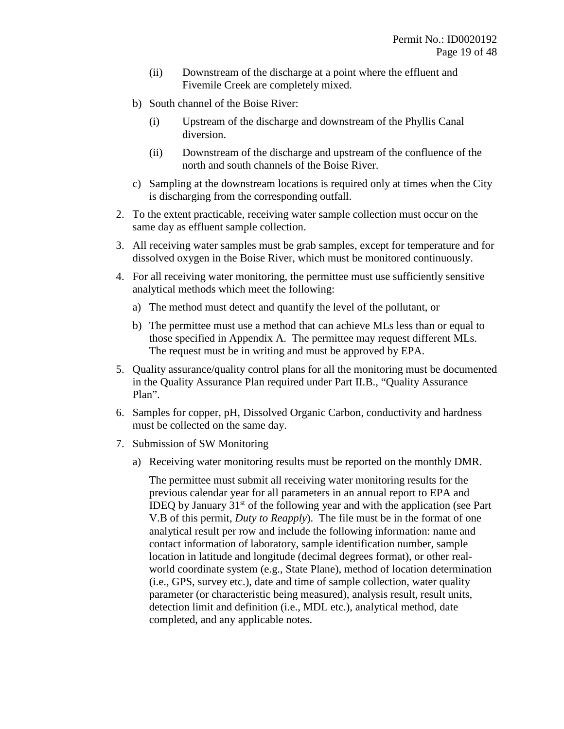- (ii) Downstream of the discharge at a point where the effluent and Fivemile Creek are completely mixed.
- b) South channel of the Boise River:
	- (i) Upstream of the discharge and downstream of the Phyllis Canal diversion.
	- (ii) Downstream of the discharge and upstream of the confluence of the north and south channels of the Boise River.
- c) Sampling at the downstream locations is required only at times when the City is discharging from the corresponding outfall.
- 2. To the extent practicable, receiving water sample collection must occur on the same day as effluent sample collection.
- 3. All receiving water samples must be grab samples, except for temperature and for dissolved oxygen in the Boise River, which must be monitored continuously.
- 4. For all receiving water monitoring, the permittee must use sufficiently sensitive analytical methods which meet the following:
	- a) The method must detect and quantify the level of the pollutant, or
	- b) The permittee must use a method that can achieve MLs less than or equal to those specified in Appendix A. The permittee may request different MLs. The request must be in writing and must be approved by EPA.
- 5. Quality assurance/quality control plans for all the monitoring must be documented in the Quality Assurance Plan required under Part II.B., "Quality Assurance Plan".
- 6. Samples for copper, pH, Dissolved Organic Carbon, conductivity and hardness must be collected on the same day.
- 7. Submission of SW Monitoring
	- a) Receiving water monitoring results must be reported on the monthly DMR.

The permittee must submit all receiving water monitoring results for the previous calendar year for all parameters in an annual report to EPA and IDEQ by January  $31<sup>st</sup>$  of the following year and with the application (see Part V.B of this permit, *Duty to Reapply*). The file must be in the format of one analytical result per row and include the following information: name and contact information of laboratory, sample identification number, sample location in latitude and longitude (decimal degrees format), or other realworld coordinate system (e.g., State Plane), method of location determination (i.e., GPS, survey etc.), date and time of sample collection, water quality parameter (or characteristic being measured), analysis result, result units, detection limit and definition (i.e., MDL etc.), analytical method, date completed, and any applicable notes.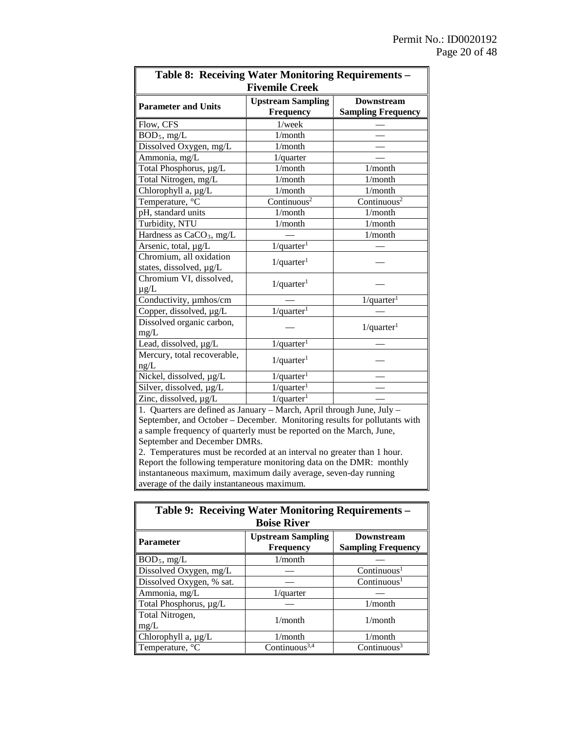| <b>Table 8: Receiving Water Monitoring Requirements -</b>       |                           |                           |  |  |  |
|-----------------------------------------------------------------|---------------------------|---------------------------|--|--|--|
| <b>Fivemile Creek</b>                                           |                           |                           |  |  |  |
| <b>Parameter and Units</b>                                      | <b>Upstream Sampling</b>  | <b>Downstream</b>         |  |  |  |
|                                                                 | <b>Frequency</b>          | <b>Sampling Frequency</b> |  |  |  |
| Flow, CFS                                                       | $1$ /week                 |                           |  |  |  |
| $BOD_5$ , mg/L                                                  | $1/m$ onth                |                           |  |  |  |
| Dissolved Oxygen, mg/L                                          | 1/month                   |                           |  |  |  |
| Ammonia, mg/L                                                   | $1$ /quarter              |                           |  |  |  |
| Total Phosphorus, µg/L                                          | 1/month                   | 1/month                   |  |  |  |
| Total Nitrogen, mg/L                                            | 1/month                   | 1/month                   |  |  |  |
| Chlorophyll a, µg/L                                             | 1/month                   | 1/month                   |  |  |  |
| Temperature, °C                                                 | Continuous <sup>2</sup>   | Continuous <sup>2</sup>   |  |  |  |
| pH, standard units                                              | 1/month                   | 1/month                   |  |  |  |
| Turbidity, NTU                                                  | 1/month                   | 1/month                   |  |  |  |
| Hardness as CaCO <sub>3</sub> , mg/L                            |                           | 1/month                   |  |  |  |
| Arsenic, total, µg/L                                            | $1$ /quarter <sup>1</sup> |                           |  |  |  |
| Chromium, all oxidation                                         | $1$ /quarter <sup>1</sup> |                           |  |  |  |
| states, dissolved, µg/L                                         |                           |                           |  |  |  |
| Chromium VI, dissolved,                                         | $1$ /quarter <sup>1</sup> |                           |  |  |  |
| $\mu$ g/L                                                       |                           |                           |  |  |  |
| Conductivity, umhos/cm                                          |                           | $1$ /quarter <sup>1</sup> |  |  |  |
| Copper, dissolved, µg/L                                         | $1$ /quarter <sup>1</sup> |                           |  |  |  |
| Dissolved organic carbon,                                       |                           | $1$ /quarter <sup>1</sup> |  |  |  |
| mg/L                                                            |                           |                           |  |  |  |
| Lead, dissolved, µg/L                                           | $1$ /quarter <sup>1</sup> |                           |  |  |  |
| Mercury, total recoverable,                                     | $1$ /quarter <sup>1</sup> |                           |  |  |  |
| ng/L                                                            |                           |                           |  |  |  |
| Nickel, dissolved, µg/L                                         | $1$ /quarter <sup>1</sup> |                           |  |  |  |
| Silver, dissolved, µg/L                                         | $1$ /quarter <sup>1</sup> |                           |  |  |  |
| $1$ /quarter <sup>1</sup><br>Zinc, dissolved, µg/L              |                           |                           |  |  |  |
| 1 Overtors are defined as Janu<br>Morah April through Lung Iuly |                           |                           |  |  |  |

1. Quarters are defined as January – March, April through June, July – September, and October – December. Monitoring results for pollutants with a sample frequency of quarterly must be reported on the March, June, September and December DMRs.

2. Temperatures must be recorded at an interval no greater than 1 hour. Report the following temperature monitoring data on the DMR: monthly instantaneous maximum, maximum daily average, seven-day running average of the daily instantaneous maximum.

| <b>Table 9: Receiving Water Monitoring Requirements -</b>               |                                              |                                                |  |  |  |
|-------------------------------------------------------------------------|----------------------------------------------|------------------------------------------------|--|--|--|
| <b>Boise River</b>                                                      |                                              |                                                |  |  |  |
| Parameter                                                               | <b>Upstream Sampling</b><br><b>Frequency</b> | <b>Downstream</b><br><b>Sampling Frequency</b> |  |  |  |
| $BOD_5$ , mg/L                                                          | $1/m$ onth                                   |                                                |  |  |  |
| Dissolved Oxygen, mg/L                                                  |                                              | Continuous <sup>1</sup>                        |  |  |  |
| Dissolved Oxygen, % sat.                                                |                                              | Continuous <sup>1</sup>                        |  |  |  |
| Ammonia, mg/L                                                           | $1$ /quarter                                 |                                                |  |  |  |
| Total Phosphorus, µg/L                                                  |                                              | $1/m$ onth                                     |  |  |  |
| Total Nitrogen,<br>$1/m$ onth<br>$1/m$ onth<br>mg/L                     |                                              |                                                |  |  |  |
| Chlorophyll a, µg/L<br>$1/m$ onth<br>$1/m$ onth                         |                                              |                                                |  |  |  |
| Temperature, °C<br>Continuous <sup>3,4</sup><br>Continuous <sup>3</sup> |                                              |                                                |  |  |  |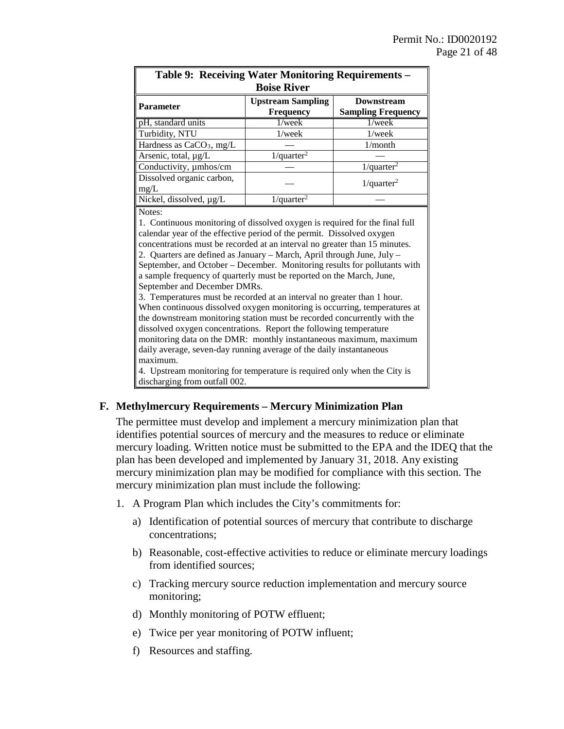| Table 9: Receiving Water Monitoring Requirements -<br><b>Boise River</b> |                                              |                                                |  |  |  |
|--------------------------------------------------------------------------|----------------------------------------------|------------------------------------------------|--|--|--|
| <b>Parameter</b>                                                         | <b>Upstream Sampling</b><br><b>Frequency</b> | <b>Downstream</b><br><b>Sampling Frequency</b> |  |  |  |
| pH, standard units                                                       | $1$ /wee $k$                                 | $1$ /wee $k$                                   |  |  |  |
| Turbidity, NTU                                                           | $1$ /wee $k$                                 | $1$ /week                                      |  |  |  |
| Hardness as $CaCO3$ , mg/L                                               |                                              | $1/m$ onth                                     |  |  |  |
| Arsenic, total, µg/L                                                     | $1$ /quarter <sup>2</sup>                    |                                                |  |  |  |
| Conductivity, umhos/cm                                                   |                                              | $1$ /quarter <sup>2</sup>                      |  |  |  |
| Dissolved organic carbon,<br>$1$ /quarter <sup>2</sup><br>mg/L           |                                              |                                                |  |  |  |
| Nickel, dissolved, $\mu$ g/L                                             | $1$ /quarter <sup>2</sup>                    |                                                |  |  |  |

Notes:

1. Continuous monitoring of dissolved oxygen is required for the final full calendar year of the effective period of the permit. Dissolved oxygen concentrations must be recorded at an interval no greater than 15 minutes. 2. Quarters are defined as January – March, April through June, July – September, and October – December. Monitoring results for pollutants with a sample frequency of quarterly must be reported on the March, June, September and December DMRs.

3. Temperatures must be recorded at an interval no greater than 1 hour. When continuous dissolved oxygen monitoring is occurring, temperatures at the downstream monitoring station must be recorded concurrently with the dissolved oxygen concentrations. Report the following temperature monitoring data on the DMR: monthly instantaneous maximum, maximum daily average, seven-day running average of the daily instantaneous maximum.

4. Upstream monitoring for temperature is required only when the City is discharging from outfall 002.

#### **F. Methylmercury Requirements – Mercury Minimization Plan**

The permittee must develop and implement a mercury minimization plan that identifies potential sources of mercury and the measures to reduce or eliminate mercury loading. Written notice must be submitted to the EPA and the IDEQ that the plan has been developed and implemented by January 31, 2018. Any existing mercury minimization plan may be modified for compliance with this section. The mercury minimization plan must include the following:

- 1. A Program Plan which includes the City's commitments for:
	- a) Identification of potential sources of mercury that contribute to discharge concentrations;
	- b) Reasonable, cost-effective activities to reduce or eliminate mercury loadings from identified sources;
	- c) Tracking mercury source reduction implementation and mercury source monitoring;
	- d) Monthly monitoring of POTW effluent;
	- e) Twice per year monitoring of POTW influent;
	- f) Resources and staffing.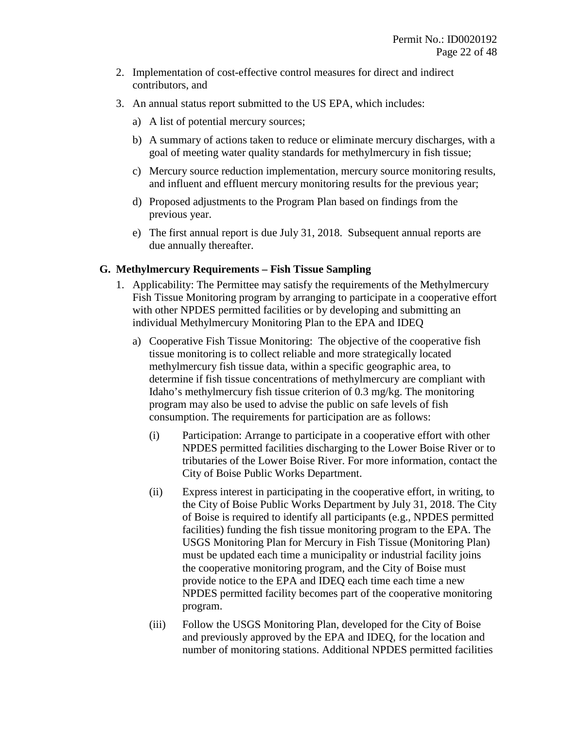- 2. Implementation of cost-effective control measures for direct and indirect contributors, and
- 3. An annual status report submitted to the US EPA, which includes:
	- a) A list of potential mercury sources;
	- b) A summary of actions taken to reduce or eliminate mercury discharges, with a goal of meeting water quality standards for methylmercury in fish tissue;
	- c) Mercury source reduction implementation, mercury source monitoring results, and influent and effluent mercury monitoring results for the previous year;
	- d) Proposed adjustments to the Program Plan based on findings from the previous year.
	- e) The first annual report is due July 31, 2018. Subsequent annual reports are due annually thereafter.

#### **G. Methylmercury Requirements – Fish Tissue Sampling**

- 1. Applicability: The Permittee may satisfy the requirements of the Methylmercury Fish Tissue Monitoring program by arranging to participate in a cooperative effort with other NPDES permitted facilities or by developing and submitting an individual Methylmercury Monitoring Plan to the EPA and IDEQ
	- a) Cooperative Fish Tissue Monitoring: The objective of the cooperative fish tissue monitoring is to collect reliable and more strategically located methylmercury fish tissue data, within a specific geographic area, to determine if fish tissue concentrations of methylmercury are compliant with Idaho's methylmercury fish tissue criterion of 0.3 mg/kg. The monitoring program may also be used to advise the public on safe levels of fish consumption. The requirements for participation are as follows:
		- (i) Participation: Arrange to participate in a cooperative effort with other NPDES permitted facilities discharging to the Lower Boise River or to tributaries of the Lower Boise River. For more information, contact the City of Boise Public Works Department.
		- (ii) Express interest in participating in the cooperative effort, in writing, to the City of Boise Public Works Department by July 31, 2018. The City of Boise is required to identify all participants (e.g., NPDES permitted facilities) funding the fish tissue monitoring program to the EPA. The USGS Monitoring Plan for Mercury in Fish Tissue (Monitoring Plan) must be updated each time a municipality or industrial facility joins the cooperative monitoring program, and the City of Boise must provide notice to the EPA and IDEQ each time each time a new NPDES permitted facility becomes part of the cooperative monitoring program.
		- (iii) Follow the USGS Monitoring Plan, developed for the City of Boise and previously approved by the EPA and IDEQ, for the location and number of monitoring stations. Additional NPDES permitted facilities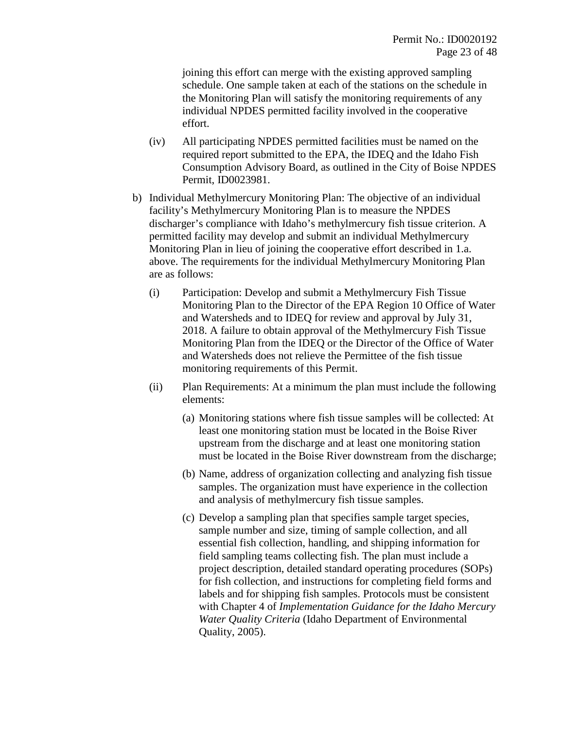joining this effort can merge with the existing approved sampling schedule. One sample taken at each of the stations on the schedule in the Monitoring Plan will satisfy the monitoring requirements of any individual NPDES permitted facility involved in the cooperative effort.

- (iv) All participating NPDES permitted facilities must be named on the required report submitted to the EPA, the IDEQ and the Idaho Fish Consumption Advisory Board, as outlined in the City of Boise NPDES Permit, ID0023981.
- b) Individual Methylmercury Monitoring Plan: The objective of an individual facility's Methylmercury Monitoring Plan is to measure the NPDES discharger's compliance with Idaho's methylmercury fish tissue criterion. A permitted facility may develop and submit an individual Methylmercury Monitoring Plan in lieu of joining the cooperative effort described in 1.a. above. The requirements for the individual Methylmercury Monitoring Plan are as follows:
	- (i) Participation: Develop and submit a Methylmercury Fish Tissue Monitoring Plan to the Director of the EPA Region 10 Office of Water and Watersheds and to IDEQ for review and approval by July 31, 2018. A failure to obtain approval of the Methylmercury Fish Tissue Monitoring Plan from the IDEQ or the Director of the Office of Water and Watersheds does not relieve the Permittee of the fish tissue monitoring requirements of this Permit.
	- (ii) Plan Requirements: At a minimum the plan must include the following elements:
		- (a) Monitoring stations where fish tissue samples will be collected: At least one monitoring station must be located in the Boise River upstream from the discharge and at least one monitoring station must be located in the Boise River downstream from the discharge;
		- (b) Name, address of organization collecting and analyzing fish tissue samples. The organization must have experience in the collection and analysis of methylmercury fish tissue samples.
		- (c) Develop a sampling plan that specifies sample target species, sample number and size, timing of sample collection, and all essential fish collection, handling, and shipping information for field sampling teams collecting fish. The plan must include a project description, detailed standard operating procedures (SOPs) for fish collection, and instructions for completing field forms and labels and for shipping fish samples. Protocols must be consistent with Chapter 4 of *Implementation Guidance for the Idaho Mercury Water Quality Criteria* (Idaho Department of Environmental Quality, 2005).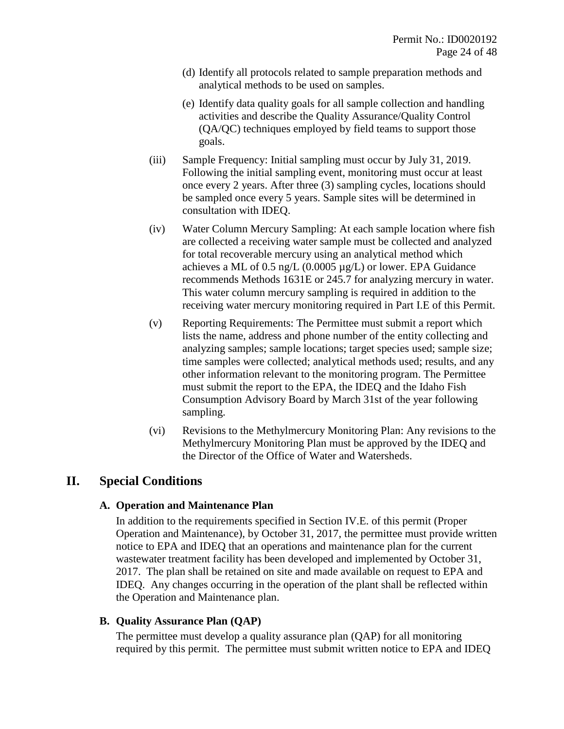- (d) Identify all protocols related to sample preparation methods and analytical methods to be used on samples.
- (e) Identify data quality goals for all sample collection and handling activities and describe the Quality Assurance/Quality Control (QA/QC) techniques employed by field teams to support those goals.
- (iii) Sample Frequency: Initial sampling must occur by July 31, 2019. Following the initial sampling event, monitoring must occur at least once every 2 years. After three (3) sampling cycles, locations should be sampled once every 5 years. Sample sites will be determined in consultation with IDEQ.
- (iv) Water Column Mercury Sampling: At each sample location where fish are collected a receiving water sample must be collected and analyzed for total recoverable mercury using an analytical method which achieves a ML of  $0.5$  ng/L  $(0.0005 \mu g/L)$  or lower. EPA Guidance recommends Methods 1631E or 245.7 for analyzing mercury in water. This water column mercury sampling is required in addition to the receiving water mercury monitoring required in Part I.E of this Permit.
- (v) Reporting Requirements: The Permittee must submit a report which lists the name, address and phone number of the entity collecting and analyzing samples; sample locations; target species used; sample size; time samples were collected; analytical methods used; results, and any other information relevant to the monitoring program. The Permittee must submit the report to the EPA, the IDEQ and the Idaho Fish Consumption Advisory Board by March 31st of the year following sampling.
- (vi) Revisions to the Methylmercury Monitoring Plan: Any revisions to the Methylmercury Monitoring Plan must be approved by the IDEQ and the Director of the Office of Water and Watersheds.

## **II. Special Conditions**

#### **A. Operation and Maintenance Plan**

In addition to the requirements specified in Section IV.E. of this permit (Proper Operation and Maintenance), by October 31, 2017, the permittee must provide written notice to EPA and IDEQ that an operations and maintenance plan for the current wastewater treatment facility has been developed and implemented by October 31, 2017. The plan shall be retained on site and made available on request to EPA and IDEQ. Any changes occurring in the operation of the plant shall be reflected within the Operation and Maintenance plan.

#### **B. Quality Assurance Plan (QAP)**

The permittee must develop a quality assurance plan (QAP) for all monitoring required by this permit. The permittee must submit written notice to EPA and IDEQ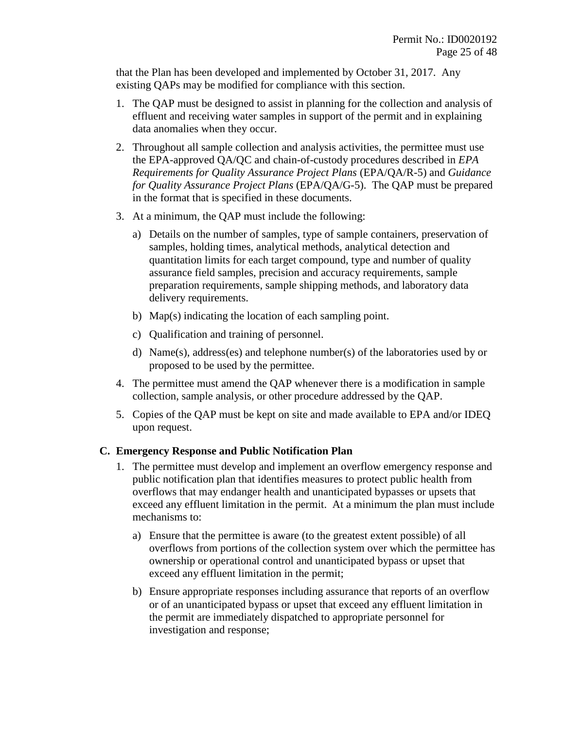that the Plan has been developed and implemented by October 31, 2017. Any existing QAPs may be modified for compliance with this section.

- 1. The QAP must be designed to assist in planning for the collection and analysis of effluent and receiving water samples in support of the permit and in explaining data anomalies when they occur.
- 2. Throughout all sample collection and analysis activities, the permittee must use the EPA-approved QA/QC and chain-of-custody procedures described in *EPA Requirements for Quality Assurance Project Plans* (EPA/QA/R-5) and *Guidance for Quality Assurance Project Plans* (EPA/QA/G-5). The QAP must be prepared in the format that is specified in these documents.
- 3. At a minimum, the QAP must include the following:
	- a) Details on the number of samples, type of sample containers, preservation of samples, holding times, analytical methods, analytical detection and quantitation limits for each target compound, type and number of quality assurance field samples, precision and accuracy requirements, sample preparation requirements, sample shipping methods, and laboratory data delivery requirements.
	- b) Map(s) indicating the location of each sampling point.
	- c) Qualification and training of personnel.
	- d) Name(s), address(es) and telephone number(s) of the laboratories used by or proposed to be used by the permittee.
- 4. The permittee must amend the QAP whenever there is a modification in sample collection, sample analysis, or other procedure addressed by the QAP.
- 5. Copies of the QAP must be kept on site and made available to EPA and/or IDEQ upon request.

#### **C. Emergency Response and Public Notification Plan**

- 1. The permittee must develop and implement an overflow emergency response and public notification plan that identifies measures to protect public health from overflows that may endanger health and unanticipated bypasses or upsets that exceed any effluent limitation in the permit. At a minimum the plan must include mechanisms to:
	- a) Ensure that the permittee is aware (to the greatest extent possible) of all overflows from portions of the collection system over which the permittee has ownership or operational control and unanticipated bypass or upset that exceed any effluent limitation in the permit;
	- b) Ensure appropriate responses including assurance that reports of an overflow or of an unanticipated bypass or upset that exceed any effluent limitation in the permit are immediately dispatched to appropriate personnel for investigation and response;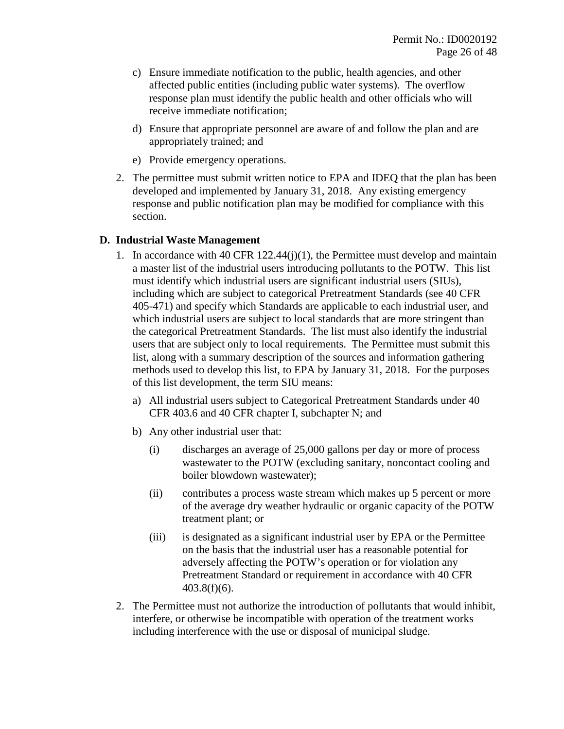- c) Ensure immediate notification to the public, health agencies, and other affected public entities (including public water systems). The overflow response plan must identify the public health and other officials who will receive immediate notification;
- d) Ensure that appropriate personnel are aware of and follow the plan and are appropriately trained; and
- e) Provide emergency operations.
- 2. The permittee must submit written notice to EPA and IDEQ that the plan has been developed and implemented by January 31, 2018. Any existing emergency response and public notification plan may be modified for compliance with this section.

#### **D. Industrial Waste Management**

- 1. In accordance with 40 CFR 122.44(j)(1), the Permittee must develop and maintain a master list of the industrial users introducing pollutants to the POTW. This list must identify which industrial users are significant industrial users (SIUs), including which are subject to categorical Pretreatment Standards (see 40 CFR 405-471) and specify which Standards are applicable to each industrial user, and which industrial users are subject to local standards that are more stringent than the categorical Pretreatment Standards. The list must also identify the industrial users that are subject only to local requirements. The Permittee must submit this list, along with a summary description of the sources and information gathering methods used to develop this list, to EPA by January 31, 2018. For the purposes of this list development, the term SIU means:
	- a) All industrial users subject to Categorical Pretreatment Standards under 40 CFR 403.6 and 40 CFR chapter I, subchapter N; and
	- b) Any other industrial user that:
		- (i) discharges an average of 25,000 gallons per day or more of process wastewater to the POTW (excluding sanitary, noncontact cooling and boiler blowdown wastewater);
		- (ii) contributes a process waste stream which makes up 5 percent or more of the average dry weather hydraulic or organic capacity of the POTW treatment plant; or
		- (iii) is designated as a significant industrial user by EPA or the Permittee on the basis that the industrial user has a reasonable potential for adversely affecting the POTW's operation or for violation any Pretreatment Standard or requirement in accordance with 40 CFR 403.8(f)(6).
- 2. The Permittee must not authorize the introduction of pollutants that would inhibit, interfere, or otherwise be incompatible with operation of the treatment works including interference with the use or disposal of municipal sludge.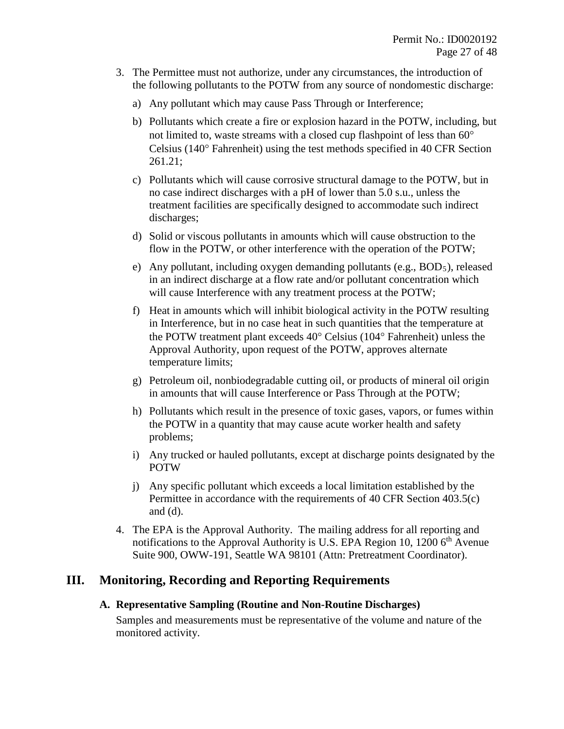- 3. The Permittee must not authorize, under any circumstances, the introduction of the following pollutants to the POTW from any source of nondomestic discharge:
	- a) Any pollutant which may cause Pass Through or Interference;
	- b) Pollutants which create a fire or explosion hazard in the POTW, including, but not limited to, waste streams with a closed cup flashpoint of less than 60° Celsius (140° Fahrenheit) using the test methods specified in 40 CFR Section 261.21;
	- c) Pollutants which will cause corrosive structural damage to the POTW, but in no case indirect discharges with a pH of lower than 5.0 s.u., unless the treatment facilities are specifically designed to accommodate such indirect discharges;
	- d) Solid or viscous pollutants in amounts which will cause obstruction to the flow in the POTW, or other interference with the operation of the POTW;
	- e) Any pollutant, including oxygen demanding pollutants (e.g.,  $BOD_5$ ), released in an indirect discharge at a flow rate and/or pollutant concentration which will cause Interference with any treatment process at the POTW;
	- f) Heat in amounts which will inhibit biological activity in the POTW resulting in Interference, but in no case heat in such quantities that the temperature at the POTW treatment plant exceeds 40° Celsius (104° Fahrenheit) unless the Approval Authority, upon request of the POTW, approves alternate temperature limits;
	- g) Petroleum oil, nonbiodegradable cutting oil, or products of mineral oil origin in amounts that will cause Interference or Pass Through at the POTW;
	- h) Pollutants which result in the presence of toxic gases, vapors, or fumes within the POTW in a quantity that may cause acute worker health and safety problems;
	- i) Any trucked or hauled pollutants, except at discharge points designated by the POTW
	- j) Any specific pollutant which exceeds a local limitation established by the Permittee in accordance with the requirements of 40 CFR Section 403.5(c) and (d).
- 4. The EPA is the Approval Authority. The mailing address for all reporting and notifications to the Approval Authority is U.S. EPA Region 10, 1200  $6<sup>th</sup>$  Avenue Suite 900, OWW-191, Seattle WA 98101 (Attn: Pretreatment Coordinator).

## **III. Monitoring, Recording and Reporting Requirements**

#### **A. Representative Sampling (Routine and Non-Routine Discharges)**

Samples and measurements must be representative of the volume and nature of the monitored activity.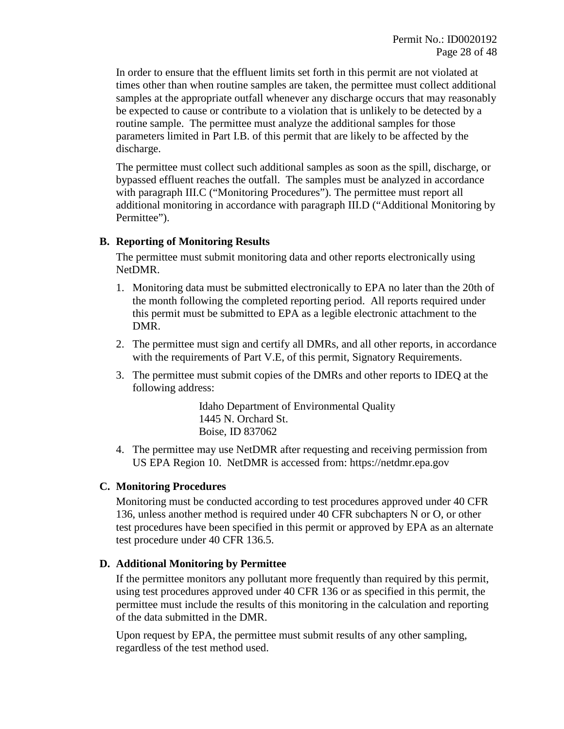In order to ensure that the effluent limits set forth in this permit are not violated at times other than when routine samples are taken, the permittee must collect additional samples at the appropriate outfall whenever any discharge occurs that may reasonably be expected to cause or contribute to a violation that is unlikely to be detected by a routine sample. The permittee must analyze the additional samples for those parameters limited in Part I.B. of this permit that are likely to be affected by the discharge.

The permittee must collect such additional samples as soon as the spill, discharge, or bypassed effluent reaches the outfall. The samples must be analyzed in accordance with paragraph III.C ("Monitoring Procedures"). The permittee must report all additional monitoring in accordance with paragraph III.D ("Additional Monitoring by Permittee").

#### **B. Reporting of Monitoring Results**

The permittee must submit monitoring data and other reports electronically using NetDMR.

- 1. Monitoring data must be submitted electronically to EPA no later than the 20th of the month following the completed reporting period. All reports required under this permit must be submitted to EPA as a legible electronic attachment to the DMR.
- 2. The permittee must sign and certify all DMRs, and all other reports, in accordance with the requirements of Part V.E, of this permit, Signatory Requirements.
- 3. The permittee must submit copies of the DMRs and other reports to IDEQ at the following address:

Idaho Department of Environmental Quality 1445 N. Orchard St. Boise, ID 837062

4. The permittee may use NetDMR after requesting and receiving permission from US EPA Region 10. NetDMR is accessed from: https://netdmr.epa.gov

#### **C. Monitoring Procedures**

Monitoring must be conducted according to test procedures approved under 40 CFR 136, unless another method is required under 40 CFR subchapters N or O, or other test procedures have been specified in this permit or approved by EPA as an alternate test procedure under 40 CFR 136.5.

#### **D. Additional Monitoring by Permittee**

If the permittee monitors any pollutant more frequently than required by this permit, using test procedures approved under 40 CFR 136 or as specified in this permit, the permittee must include the results of this monitoring in the calculation and reporting of the data submitted in the DMR.

Upon request by EPA, the permittee must submit results of any other sampling, regardless of the test method used.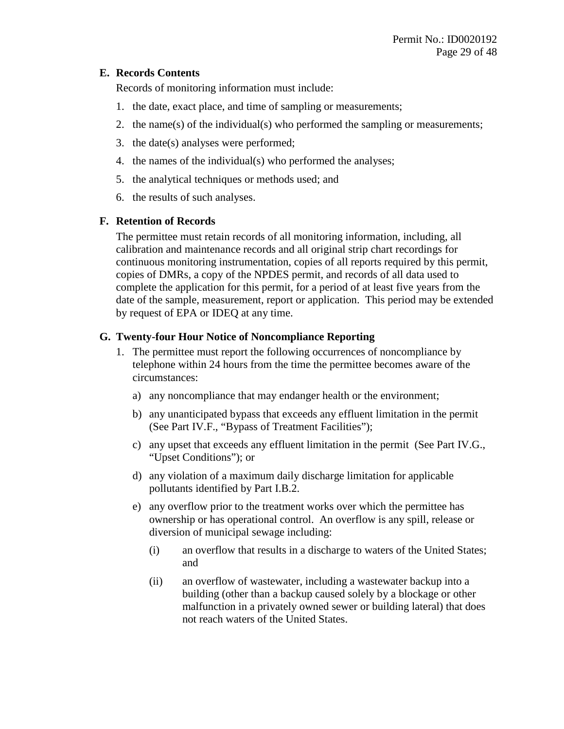#### **E. Records Contents**

Records of monitoring information must include:

- 1. the date, exact place, and time of sampling or measurements;
- 2. the name(s) of the individual(s) who performed the sampling or measurements;
- 3. the date(s) analyses were performed;
- 4. the names of the individual(s) who performed the analyses;
- 5. the analytical techniques or methods used; and
- 6. the results of such analyses.

## **F. Retention of Records**

The permittee must retain records of all monitoring information, including, all calibration and maintenance records and all original strip chart recordings for continuous monitoring instrumentation, copies of all reports required by this permit, copies of DMRs, a copy of the NPDES permit, and records of all data used to complete the application for this permit, for a period of at least five years from the date of the sample, measurement, report or application. This period may be extended by request of EPA or IDEQ at any time.

## **G. Twenty-four Hour Notice of Noncompliance Reporting**

- 1. The permittee must report the following occurrences of noncompliance by telephone within 24 hours from the time the permittee becomes aware of the circumstances:
	- a) any noncompliance that may endanger health or the environment;
	- b) any unanticipated bypass that exceeds any effluent limitation in the permit (See Part IV.F., "Bypass of Treatment Facilities");
	- c) any upset that exceeds any effluent limitation in the permit (See Part IV.G., "Upset Conditions"); or
	- d) any violation of a maximum daily discharge limitation for applicable pollutants identified by Part I.B.2.
	- e) any overflow prior to the treatment works over which the permittee has ownership or has operational control. An overflow is any spill, release or diversion of municipal sewage including:
		- (i) an overflow that results in a discharge to waters of the United States; and
		- (ii) an overflow of wastewater, including a wastewater backup into a building (other than a backup caused solely by a blockage or other malfunction in a privately owned sewer or building lateral) that does not reach waters of the United States.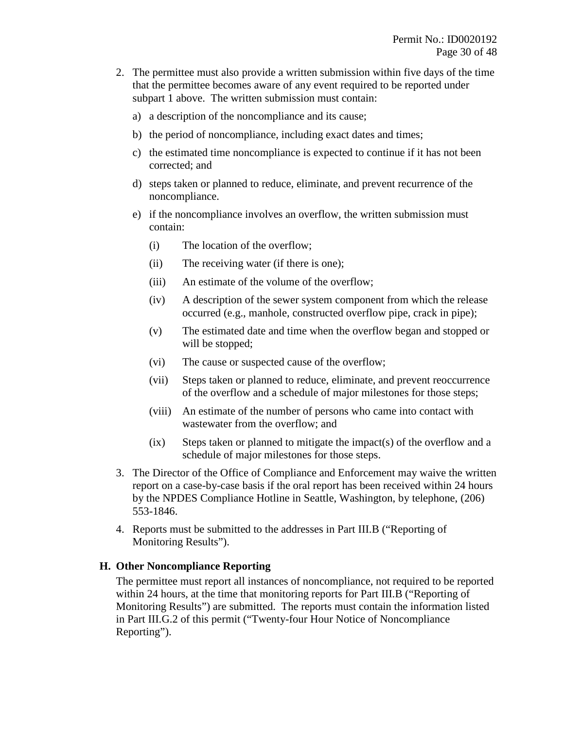- 2. The permittee must also provide a written submission within five days of the time that the permittee becomes aware of any event required to be reported under subpart 1 above. The written submission must contain:
	- a) a description of the noncompliance and its cause;
	- b) the period of noncompliance, including exact dates and times;
	- c) the estimated time noncompliance is expected to continue if it has not been corrected; and
	- d) steps taken or planned to reduce, eliminate, and prevent recurrence of the noncompliance.
	- e) if the noncompliance involves an overflow, the written submission must contain:
		- (i) The location of the overflow;
		- (ii) The receiving water (if there is one);
		- (iii) An estimate of the volume of the overflow;
		- (iv) A description of the sewer system component from which the release occurred (e.g., manhole, constructed overflow pipe, crack in pipe);
		- (v) The estimated date and time when the overflow began and stopped or will be stopped;
		- (vi) The cause or suspected cause of the overflow;
		- (vii) Steps taken or planned to reduce, eliminate, and prevent reoccurrence of the overflow and a schedule of major milestones for those steps;
		- (viii) An estimate of the number of persons who came into contact with wastewater from the overflow; and
		- $(ix)$  Steps taken or planned to mitigate the impact(s) of the overflow and a schedule of major milestones for those steps.
- 3. The Director of the Office of Compliance and Enforcement may waive the written report on a case-by-case basis if the oral report has been received within 24 hours by the NPDES Compliance Hotline in Seattle, Washington, by telephone, (206) 553-1846.
- 4. Reports must be submitted to the addresses in Part III.B ("Reporting of Monitoring Results").

#### **H. Other Noncompliance Reporting**

The permittee must report all instances of noncompliance, not required to be reported within 24 hours, at the time that monitoring reports for Part III.B ("Reporting of Monitoring Results") are submitted. The reports must contain the information listed in Part III.G.2 of this permit ("Twenty-four Hour Notice of Noncompliance Reporting").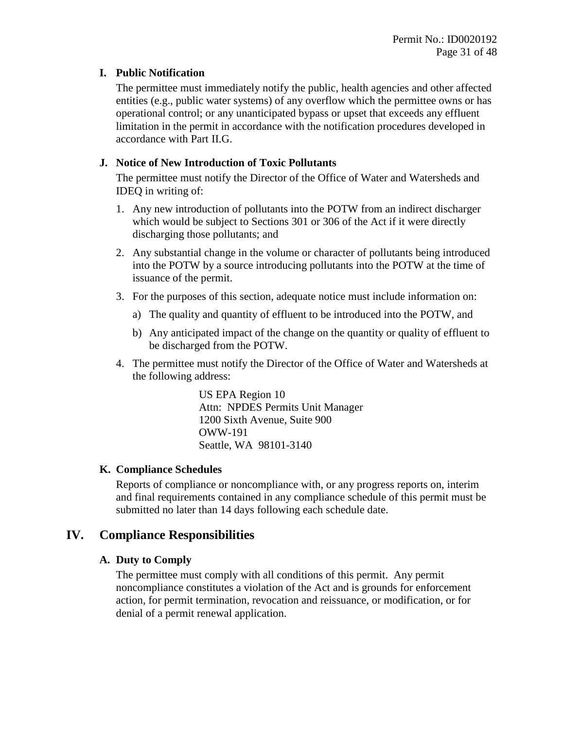#### **I. Public Notification**

The permittee must immediately notify the public, health agencies and other affected entities (e.g., public water systems) of any overflow which the permittee owns or has operational control; or any unanticipated bypass or upset that exceeds any effluent limitation in the permit in accordance with the notification procedures developed in accordance with Part II.G.

## **J. Notice of New Introduction of Toxic Pollutants**

The permittee must notify the Director of the Office of Water and Watersheds and IDEQ in writing of:

- 1. Any new introduction of pollutants into the POTW from an indirect discharger which would be subject to Sections 301 or 306 of the Act if it were directly discharging those pollutants; and
- 2. Any substantial change in the volume or character of pollutants being introduced into the POTW by a source introducing pollutants into the POTW at the time of issuance of the permit.
- 3. For the purposes of this section, adequate notice must include information on:
	- a) The quality and quantity of effluent to be introduced into the POTW, and
	- b) Any anticipated impact of the change on the quantity or quality of effluent to be discharged from the POTW.
- 4. The permittee must notify the Director of the Office of Water and Watersheds at the following address:

US EPA Region 10 Attn: NPDES Permits Unit Manager 1200 Sixth Avenue, Suite 900 OWW-191 Seattle, WA 98101-3140

## **K. Compliance Schedules**

Reports of compliance or noncompliance with, or any progress reports on, interim and final requirements contained in any compliance schedule of this permit must be submitted no later than 14 days following each schedule date.

## **IV. Compliance Responsibilities**

## **A. Duty to Comply**

The permittee must comply with all conditions of this permit. Any permit noncompliance constitutes a violation of the Act and is grounds for enforcement action, for permit termination, revocation and reissuance, or modification, or for denial of a permit renewal application.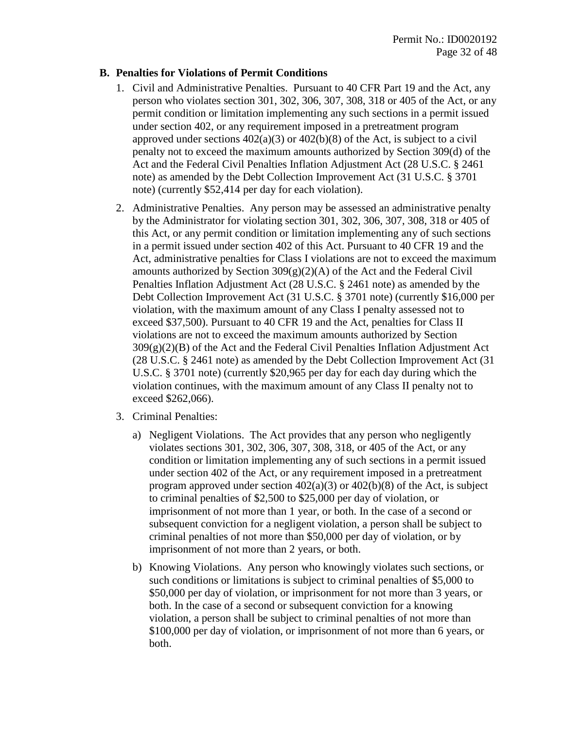#### **B. Penalties for Violations of Permit Conditions**

- 1. Civil and Administrative Penalties. Pursuant to 40 CFR Part 19 and the Act, any person who violates section 301, 302, 306, 307, 308, 318 or 405 of the Act, or any permit condition or limitation implementing any such sections in a permit issued under section 402, or any requirement imposed in a pretreatment program approved under sections  $402(a)(3)$  or  $402(b)(8)$  of the Act, is subject to a civil penalty not to exceed the maximum amounts authorized by Section 309(d) of the Act and the Federal Civil Penalties Inflation Adjustment Act (28 U.S.C. § 2461 note) as amended by the Debt Collection Improvement Act (31 U.S.C. § 3701 note) (currently \$52,414 per day for each violation).
- 2. Administrative Penalties. Any person may be assessed an administrative penalty by the Administrator for violating section 301, 302, 306, 307, 308, 318 or 405 of this Act, or any permit condition or limitation implementing any of such sections in a permit issued under section 402 of this Act. Pursuant to 40 CFR 19 and the Act, administrative penalties for Class I violations are not to exceed the maximum amounts authorized by Section  $309(g)(2)(A)$  of the Act and the Federal Civil Penalties Inflation Adjustment Act (28 U.S.C. § 2461 note) as amended by the Debt Collection Improvement Act (31 U.S.C. § 3701 note) (currently \$16,000 per violation, with the maximum amount of any Class I penalty assessed not to exceed \$37,500). Pursuant to 40 CFR 19 and the Act, penalties for Class II violations are not to exceed the maximum amounts authorized by Section  $309(g)(2)(B)$  of the Act and the Federal Civil Penalties Inflation Adjustment Act (28 U.S.C. § 2461 note) as amended by the Debt Collection Improvement Act (31 U.S.C. § 3701 note) (currently \$20,965 per day for each day during which the violation continues, with the maximum amount of any Class II penalty not to exceed \$262,066).
- 3. Criminal Penalties:
	- a) Negligent Violations. The Act provides that any person who negligently violates sections 301, 302, 306, 307, 308, 318, or 405 of the Act, or any condition or limitation implementing any of such sections in a permit issued under section 402 of the Act, or any requirement imposed in a pretreatment program approved under section  $402(a)(3)$  or  $402(b)(8)$  of the Act, is subject to criminal penalties of \$2,500 to \$25,000 per day of violation, or imprisonment of not more than 1 year, or both. In the case of a second or subsequent conviction for a negligent violation, a person shall be subject to criminal penalties of not more than \$50,000 per day of violation, or by imprisonment of not more than 2 years, or both.
	- b) Knowing Violations. Any person who knowingly violates such sections, or such conditions or limitations is subject to criminal penalties of \$5,000 to \$50,000 per day of violation, or imprisonment for not more than 3 years, or both. In the case of a second or subsequent conviction for a knowing violation, a person shall be subject to criminal penalties of not more than \$100,000 per day of violation, or imprisonment of not more than 6 years, or both.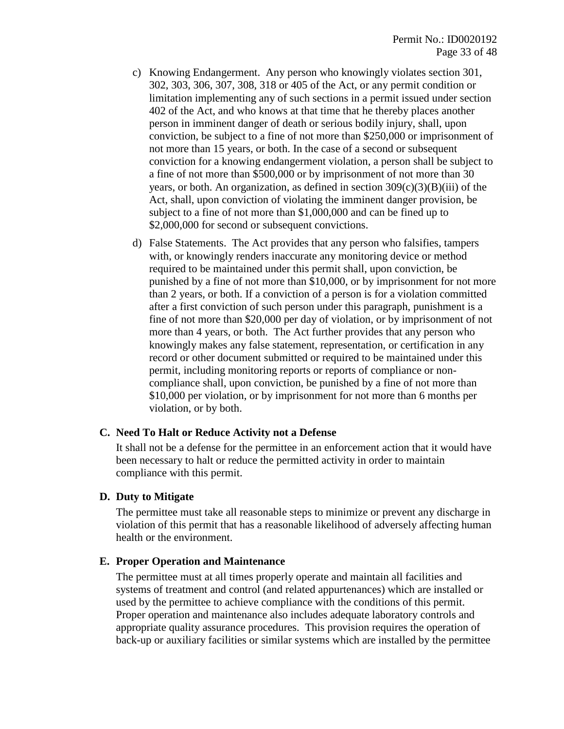- c) Knowing Endangerment. Any person who knowingly violates section 301, 302, 303, 306, 307, 308, 318 or 405 of the Act, or any permit condition or limitation implementing any of such sections in a permit issued under section 402 of the Act, and who knows at that time that he thereby places another person in imminent danger of death or serious bodily injury, shall, upon conviction, be subject to a fine of not more than \$250,000 or imprisonment of not more than 15 years, or both. In the case of a second or subsequent conviction for a knowing endangerment violation, a person shall be subject to a fine of not more than \$500,000 or by imprisonment of not more than 30 years, or both. An organization, as defined in section  $309(c)(3)(B)(iii)$  of the Act, shall, upon conviction of violating the imminent danger provision, be subject to a fine of not more than \$1,000,000 and can be fined up to \$2,000,000 for second or subsequent convictions.
- d) False Statements. The Act provides that any person who falsifies, tampers with, or knowingly renders inaccurate any monitoring device or method required to be maintained under this permit shall, upon conviction, be punished by a fine of not more than \$10,000, or by imprisonment for not more than 2 years, or both. If a conviction of a person is for a violation committed after a first conviction of such person under this paragraph, punishment is a fine of not more than \$20,000 per day of violation, or by imprisonment of not more than 4 years, or both. The Act further provides that any person who knowingly makes any false statement, representation, or certification in any record or other document submitted or required to be maintained under this permit, including monitoring reports or reports of compliance or noncompliance shall, upon conviction, be punished by a fine of not more than \$10,000 per violation, or by imprisonment for not more than 6 months per violation, or by both.

#### **C. Need To Halt or Reduce Activity not a Defense**

It shall not be a defense for the permittee in an enforcement action that it would have been necessary to halt or reduce the permitted activity in order to maintain compliance with this permit.

#### **D. Duty to Mitigate**

The permittee must take all reasonable steps to minimize or prevent any discharge in violation of this permit that has a reasonable likelihood of adversely affecting human health or the environment.

#### **E. Proper Operation and Maintenance**

The permittee must at all times properly operate and maintain all facilities and systems of treatment and control (and related appurtenances) which are installed or used by the permittee to achieve compliance with the conditions of this permit. Proper operation and maintenance also includes adequate laboratory controls and appropriate quality assurance procedures. This provision requires the operation of back-up or auxiliary facilities or similar systems which are installed by the permittee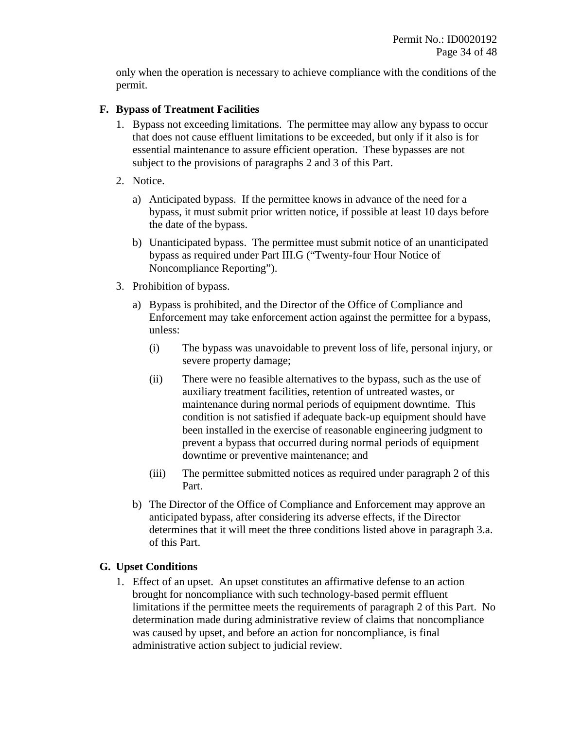only when the operation is necessary to achieve compliance with the conditions of the permit.

#### **F. Bypass of Treatment Facilities**

- 1. Bypass not exceeding limitations. The permittee may allow any bypass to occur that does not cause effluent limitations to be exceeded, but only if it also is for essential maintenance to assure efficient operation. These bypasses are not subject to the provisions of paragraphs 2 and 3 of this Part.
- 2. Notice.
	- a) Anticipated bypass. If the permittee knows in advance of the need for a bypass, it must submit prior written notice, if possible at least 10 days before the date of the bypass.
	- b) Unanticipated bypass. The permittee must submit notice of an unanticipated bypass as required under Part III.G ("Twenty-four Hour Notice of Noncompliance Reporting").
- 3. Prohibition of bypass.
	- a) Bypass is prohibited, and the Director of the Office of Compliance and Enforcement may take enforcement action against the permittee for a bypass, unless:
		- (i) The bypass was unavoidable to prevent loss of life, personal injury, or severe property damage;
		- (ii) There were no feasible alternatives to the bypass, such as the use of auxiliary treatment facilities, retention of untreated wastes, or maintenance during normal periods of equipment downtime. This condition is not satisfied if adequate back-up equipment should have been installed in the exercise of reasonable engineering judgment to prevent a bypass that occurred during normal periods of equipment downtime or preventive maintenance; and
		- (iii) The permittee submitted notices as required under paragraph 2 of this Part.
	- b) The Director of the Office of Compliance and Enforcement may approve an anticipated bypass, after considering its adverse effects, if the Director determines that it will meet the three conditions listed above in paragraph 3.a. of this Part.

#### **G. Upset Conditions**

1. Effect of an upset. An upset constitutes an affirmative defense to an action brought for noncompliance with such technology-based permit effluent limitations if the permittee meets the requirements of paragraph 2 of this Part. No determination made during administrative review of claims that noncompliance was caused by upset, and before an action for noncompliance, is final administrative action subject to judicial review.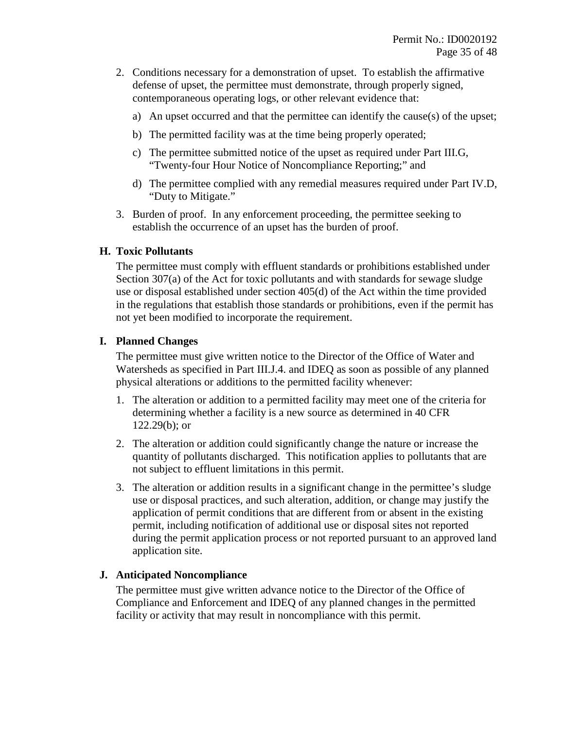- 2. Conditions necessary for a demonstration of upset. To establish the affirmative defense of upset, the permittee must demonstrate, through properly signed, contemporaneous operating logs, or other relevant evidence that:
	- a) An upset occurred and that the permittee can identify the cause(s) of the upset;
	- b) The permitted facility was at the time being properly operated;
	- c) The permittee submitted notice of the upset as required under Part III.G, "Twenty-four Hour Notice of Noncompliance Reporting;" and
	- d) The permittee complied with any remedial measures required under Part IV.D, "Duty to Mitigate."
- 3. Burden of proof. In any enforcement proceeding, the permittee seeking to establish the occurrence of an upset has the burden of proof.

#### **H. Toxic Pollutants**

The permittee must comply with effluent standards or prohibitions established under Section 307(a) of the Act for toxic pollutants and with standards for sewage sludge use or disposal established under section 405(d) of the Act within the time provided in the regulations that establish those standards or prohibitions, even if the permit has not yet been modified to incorporate the requirement.

## **I. Planned Changes**

The permittee must give written notice to the Director of the Office of Water and Watersheds as specified in Part III.J.4. and IDEQ as soon as possible of any planned physical alterations or additions to the permitted facility whenever:

- 1. The alteration or addition to a permitted facility may meet one of the criteria for determining whether a facility is a new source as determined in 40 CFR 122.29(b); or
- 2. The alteration or addition could significantly change the nature or increase the quantity of pollutants discharged. This notification applies to pollutants that are not subject to effluent limitations in this permit.
- 3. The alteration or addition results in a significant change in the permittee's sludge use or disposal practices, and such alteration, addition, or change may justify the application of permit conditions that are different from or absent in the existing permit, including notification of additional use or disposal sites not reported during the permit application process or not reported pursuant to an approved land application site.

## **J. Anticipated Noncompliance**

The permittee must give written advance notice to the Director of the Office of Compliance and Enforcement and IDEQ of any planned changes in the permitted facility or activity that may result in noncompliance with this permit.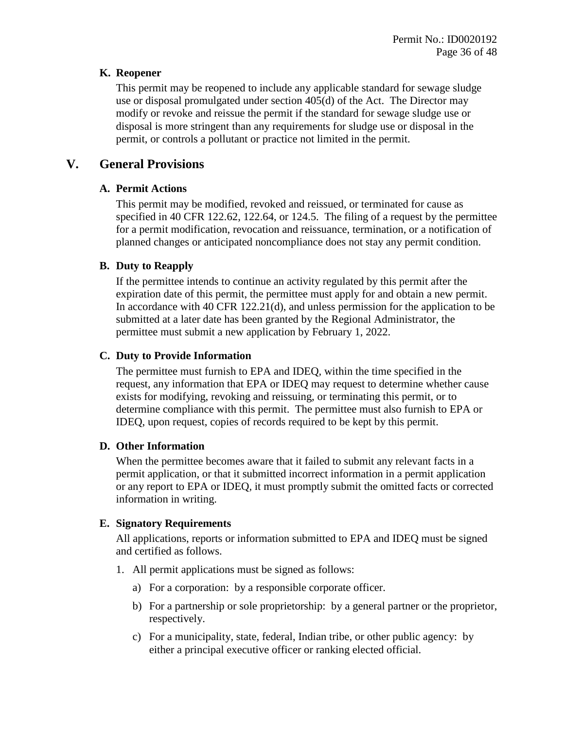#### **K. Reopener**

This permit may be reopened to include any applicable standard for sewage sludge use or disposal promulgated under section 405(d) of the Act. The Director may modify or revoke and reissue the permit if the standard for sewage sludge use or disposal is more stringent than any requirements for sludge use or disposal in the permit, or controls a pollutant or practice not limited in the permit.

## **V. General Provisions**

## **A. Permit Actions**

This permit may be modified, revoked and reissued, or terminated for cause as specified in 40 CFR 122.62, 122.64, or 124.5. The filing of a request by the permittee for a permit modification, revocation and reissuance, termination, or a notification of planned changes or anticipated noncompliance does not stay any permit condition.

## **B. Duty to Reapply**

If the permittee intends to continue an activity regulated by this permit after the expiration date of this permit, the permittee must apply for and obtain a new permit. In accordance with 40 CFR 122.21(d), and unless permission for the application to be submitted at a later date has been granted by the Regional Administrator, the permittee must submit a new application by February 1, 2022.

## **C. Duty to Provide Information**

The permittee must furnish to EPA and IDEQ*,* within the time specified in the request, any information that EPA or IDEQ may request to determine whether cause exists for modifying, revoking and reissuing, or terminating this permit, or to determine compliance with this permit. The permittee must also furnish to EPA or IDEQ, upon request, copies of records required to be kept by this permit.

## **D. Other Information**

When the permittee becomes aware that it failed to submit any relevant facts in a permit application, or that it submitted incorrect information in a permit application or any report to EPA or IDEQ*,* it must promptly submit the omitted facts or corrected information in writing.

## **E. Signatory Requirements**

All applications, reports or information submitted to EPA and IDEQ must be signed and certified as follows.

- 1. All permit applications must be signed as follows:
	- a) For a corporation: by a responsible corporate officer.
	- b) For a partnership or sole proprietorship: by a general partner or the proprietor, respectively.
	- c) For a municipality, state, federal, Indian tribe, or other public agency: by either a principal executive officer or ranking elected official.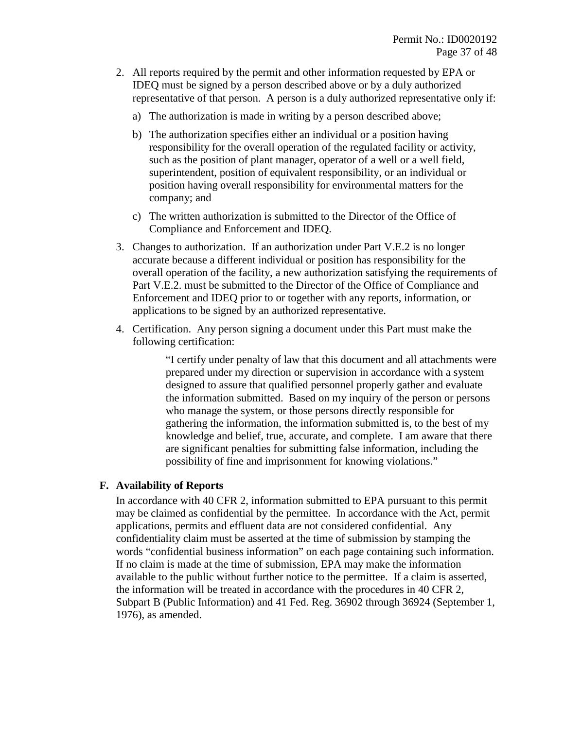- 2. All reports required by the permit and other information requested by EPA or IDEQ must be signed by a person described above or by a duly authorized representative of that person. A person is a duly authorized representative only if:
	- a) The authorization is made in writing by a person described above;
	- b) The authorization specifies either an individual or a position having responsibility for the overall operation of the regulated facility or activity, such as the position of plant manager, operator of a well or a well field, superintendent, position of equivalent responsibility, or an individual or position having overall responsibility for environmental matters for the company; and
	- c) The written authorization is submitted to the Director of the Office of Compliance and Enforcement and IDEQ.
- 3. Changes to authorization. If an authorization under Part V.E.2 is no longer accurate because a different individual or position has responsibility for the overall operation of the facility, a new authorization satisfying the requirements of Part V.E.2. must be submitted to the Director of the Office of Compliance and Enforcement and IDEQ prior to or together with any reports, information, or applications to be signed by an authorized representative.
- 4. Certification. Any person signing a document under this Part must make the following certification:

"I certify under penalty of law that this document and all attachments were prepared under my direction or supervision in accordance with a system designed to assure that qualified personnel properly gather and evaluate the information submitted. Based on my inquiry of the person or persons who manage the system, or those persons directly responsible for gathering the information, the information submitted is, to the best of my knowledge and belief, true, accurate, and complete. I am aware that there are significant penalties for submitting false information, including the possibility of fine and imprisonment for knowing violations."

#### **F. Availability of Reports**

In accordance with 40 CFR 2, information submitted to EPA pursuant to this permit may be claimed as confidential by the permittee. In accordance with the Act, permit applications, permits and effluent data are not considered confidential. Any confidentiality claim must be asserted at the time of submission by stamping the words "confidential business information" on each page containing such information. If no claim is made at the time of submission, EPA may make the information available to the public without further notice to the permittee. If a claim is asserted, the information will be treated in accordance with the procedures in 40 CFR 2, Subpart B (Public Information) and 41 Fed. Reg. 36902 through 36924 (September 1, 1976), as amended.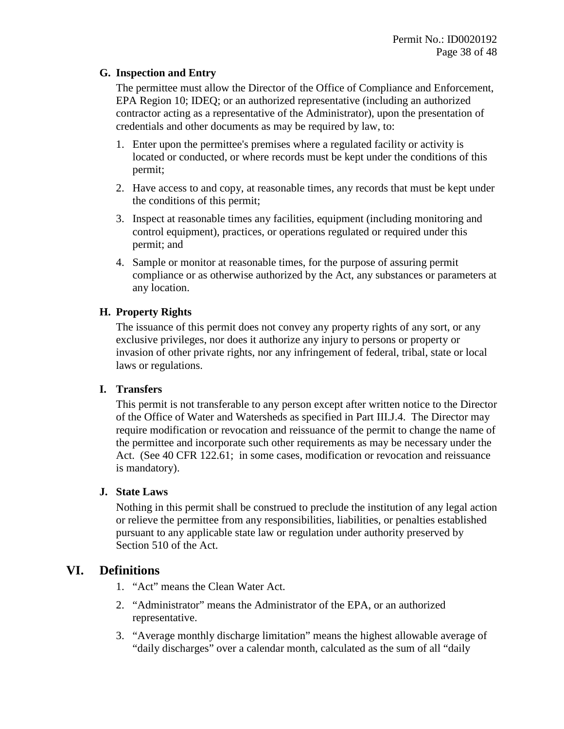#### **G. Inspection and Entry**

The permittee must allow the Director of the Office of Compliance and Enforcement, EPA Region 10; IDEQ; or an authorized representative (including an authorized contractor acting as a representative of the Administrator), upon the presentation of credentials and other documents as may be required by law, to:

- 1. Enter upon the permittee's premises where a regulated facility or activity is located or conducted, or where records must be kept under the conditions of this permit;
- 2. Have access to and copy, at reasonable times, any records that must be kept under the conditions of this permit;
- 3. Inspect at reasonable times any facilities, equipment (including monitoring and control equipment), practices, or operations regulated or required under this permit; and
- 4. Sample or monitor at reasonable times, for the purpose of assuring permit compliance or as otherwise authorized by the Act, any substances or parameters at any location.

#### **H. Property Rights**

The issuance of this permit does not convey any property rights of any sort, or any exclusive privileges, nor does it authorize any injury to persons or property or invasion of other private rights, nor any infringement of federal, tribal, state or local laws or regulations.

#### **I. Transfers**

This permit is not transferable to any person except after written notice to the Director of the Office of Water and Watersheds as specified in Part III.J.4. The Director may require modification or revocation and reissuance of the permit to change the name of the permittee and incorporate such other requirements as may be necessary under the Act. (See 40 CFR 122.61; in some cases, modification or revocation and reissuance is mandatory).

#### **J. State Laws**

Nothing in this permit shall be construed to preclude the institution of any legal action or relieve the permittee from any responsibilities, liabilities, or penalties established pursuant to any applicable state law or regulation under authority preserved by Section 510 of the Act.

## **VI. Definitions**

- 1. "Act" means the Clean Water Act.
- 2. "Administrator" means the Administrator of the EPA, or an authorized representative.
- 3. "Average monthly discharge limitation" means the highest allowable average of "daily discharges" over a calendar month, calculated as the sum of all "daily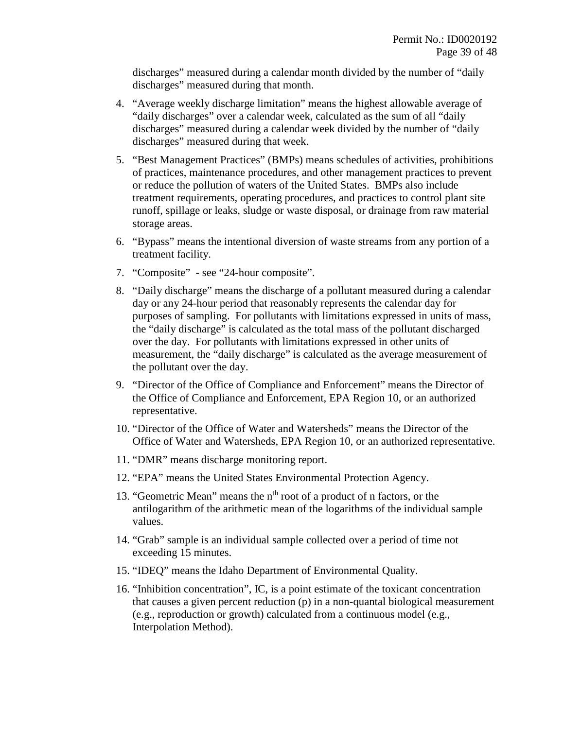discharges" measured during a calendar month divided by the number of "daily discharges" measured during that month.

- 4. "Average weekly discharge limitation" means the highest allowable average of "daily discharges" over a calendar week, calculated as the sum of all "daily discharges" measured during a calendar week divided by the number of "daily discharges" measured during that week.
- 5. "Best Management Practices" (BMPs) means schedules of activities, prohibitions of practices, maintenance procedures, and other management practices to prevent or reduce the pollution of waters of the United States. BMPs also include treatment requirements, operating procedures, and practices to control plant site runoff, spillage or leaks, sludge or waste disposal, or drainage from raw material storage areas.
- 6. "Bypass" means the intentional diversion of waste streams from any portion of a treatment facility.
- 7. "Composite" see "24-hour composite".
- 8. "Daily discharge" means the discharge of a pollutant measured during a calendar day or any 24-hour period that reasonably represents the calendar day for purposes of sampling. For pollutants with limitations expressed in units of mass, the "daily discharge" is calculated as the total mass of the pollutant discharged over the day. For pollutants with limitations expressed in other units of measurement, the "daily discharge" is calculated as the average measurement of the pollutant over the day.
- 9. "Director of the Office of Compliance and Enforcement" means the Director of the Office of Compliance and Enforcement, EPA Region 10, or an authorized representative.
- 10. "Director of the Office of Water and Watersheds" means the Director of the Office of Water and Watersheds, EPA Region 10, or an authorized representative.
- 11. "DMR" means discharge monitoring report.
- 12. "EPA" means the United States Environmental Protection Agency.
- 13. "Geometric Mean" means the  $n<sup>th</sup>$  root of a product of n factors, or the antilogarithm of the arithmetic mean of the logarithms of the individual sample values.
- 14. "Grab" sample is an individual sample collected over a period of time not exceeding 15 minutes.
- 15. "IDEQ" means the Idaho Department of Environmental Quality.
- 16. "Inhibition concentration", IC, is a point estimate of the toxicant concentration that causes a given percent reduction (p) in a non-quantal biological measurement (e.g., reproduction or growth) calculated from a continuous model (e.g., Interpolation Method).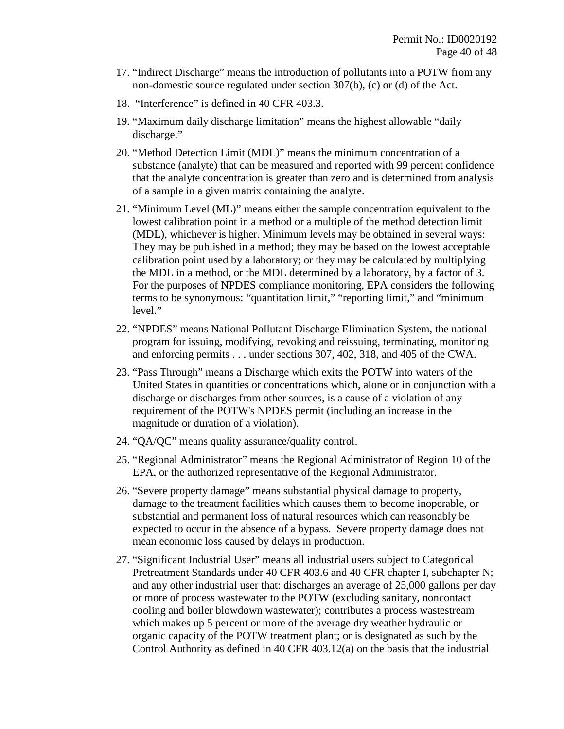- 17. "Indirect Discharge" means the introduction of pollutants into a POTW from any non-domestic source regulated under section 307(b), (c) or (d) of the Act.
- 18. "Interference" is defined in 40 CFR 403.3.
- 19. "Maximum daily discharge limitation" means the highest allowable "daily discharge."
- 20. "Method Detection Limit (MDL)" means the minimum concentration of a substance (analyte) that can be measured and reported with 99 percent confidence that the analyte concentration is greater than zero and is determined from analysis of a sample in a given matrix containing the analyte.
- 21. "Minimum Level (ML)" means either the sample concentration equivalent to the lowest calibration point in a method or a multiple of the method detection limit (MDL), whichever is higher. Minimum levels may be obtained in several ways: They may be published in a method; they may be based on the lowest acceptable calibration point used by a laboratory; or they may be calculated by multiplying the MDL in a method, or the MDL determined by a laboratory, by a factor of 3. For the purposes of NPDES compliance monitoring, EPA considers the following terms to be synonymous: "quantitation limit," "reporting limit," and "minimum level."
- 22. "NPDES" means National Pollutant Discharge Elimination System, the national program for issuing, modifying, revoking and reissuing, terminating, monitoring and enforcing permits . . . under sections 307, 402, 318, and 405 of the CWA.
- 23. "Pass Through" means a Discharge which exits the POTW into waters of the United States in quantities or concentrations which, alone or in conjunction with a discharge or discharges from other sources, is a cause of a violation of any requirement of the POTW's NPDES permit (including an increase in the magnitude or duration of a violation).
- 24. "QA/QC" means quality assurance/quality control.
- 25. "Regional Administrator" means the Regional Administrator of Region 10 of the EPA, or the authorized representative of the Regional Administrator.
- 26. "Severe property damage" means substantial physical damage to property, damage to the treatment facilities which causes them to become inoperable, or substantial and permanent loss of natural resources which can reasonably be expected to occur in the absence of a bypass. Severe property damage does not mean economic loss caused by delays in production.
- 27. "Significant Industrial User" means all industrial users subject to Categorical Pretreatment Standards under 40 CFR 403.6 and 40 CFR chapter I, subchapter N; and any other industrial user that: discharges an average of 25,000 gallons per day or more of process wastewater to the POTW (excluding sanitary, noncontact cooling and boiler blowdown wastewater); contributes a process wastestream which makes up 5 percent or more of the average dry weather hydraulic or organic capacity of the POTW treatment plant; or is designated as such by the Control Authority as defined in 40 CFR 403.12(a) on the basis that the industrial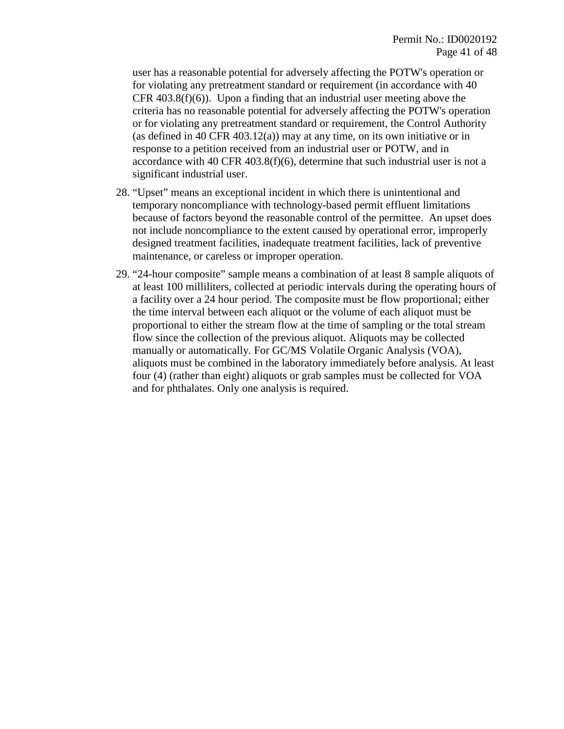user has a reasonable potential for adversely affecting the POTW's operation or for violating any pretreatment standard or requirement (in accordance with 40 CFR 403.8(f)(6)). Upon a finding that an industrial user meeting above the criteria has no reasonable potential for adversely affecting the POTW's operation or for violating any pretreatment standard or requirement, the Control Authority (as defined in 40 CFR 403.12(a)) may at any time, on its own initiative or in response to a petition received from an industrial user or POTW, and in accordance with 40 CFR 403.8(f)(6), determine that such industrial user is not a significant industrial user.

- 28. "Upset" means an exceptional incident in which there is unintentional and temporary noncompliance with technology-based permit effluent limitations because of factors beyond the reasonable control of the permittee. An upset does not include noncompliance to the extent caused by operational error, improperly designed treatment facilities, inadequate treatment facilities, lack of preventive maintenance, or careless or improper operation.
- 29. "24-hour composite" sample means a combination of at least 8 sample aliquots of at least 100 milliliters, collected at periodic intervals during the operating hours of a facility over a 24 hour period. The composite must be flow proportional; either the time interval between each aliquot or the volume of each aliquot must be proportional to either the stream flow at the time of sampling or the total stream flow since the collection of the previous aliquot. Aliquots may be collected manually or automatically. For GC/MS Volatile Organic Analysis (VOA), aliquots must be combined in the laboratory immediately before analysis. At least four (4) (rather than eight) aliquots or grab samples must be collected for VOA and for phthalates. Only one analysis is required.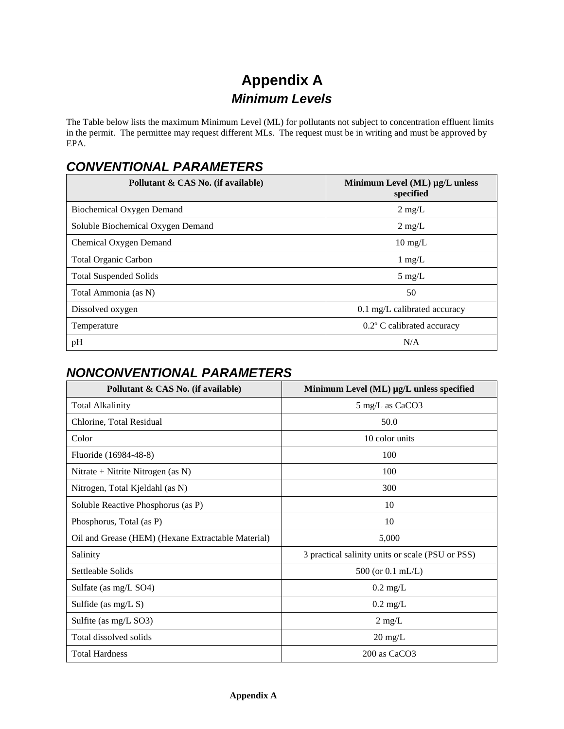# **Appendix A**  *Minimum Levels*

The Table below lists the maximum Minimum Level (ML) for pollutants not subject to concentration effluent limits in the permit. The permittee may request different MLs. The request must be in writing and must be approved by EPA.

## *CONVENTIONAL PARAMETERS*

| Pollutant & CAS No. (if available) | Minimum Level $(ML)$ $\mu$ g/L unless<br>specified |
|------------------------------------|----------------------------------------------------|
| Biochemical Oxygen Demand          | $2 \text{ mg/L}$                                   |
| Soluble Biochemical Oxygen Demand  | $2 \text{ mg/L}$                                   |
| Chemical Oxygen Demand             | $10 \text{ mg/L}$                                  |
| <b>Total Organic Carbon</b>        | $1 \text{ mg/L}$                                   |
| <b>Total Suspended Solids</b>      | $5 \text{ mg/L}$                                   |
| Total Ammonia (as N)               | 50                                                 |
| Dissolved oxygen                   | 0.1 mg/L calibrated accuracy                       |
| Temperature                        | 0.2° C calibrated accuracy                         |
| pH                                 | N/A                                                |

## *NONCONVENTIONAL PARAMETERS*

| Pollutant & CAS No. (if available)                 | Minimum Level (ML) µg/L unless specified         |
|----------------------------------------------------|--------------------------------------------------|
| <b>Total Alkalinity</b>                            | 5 mg/L as CaCO3                                  |
| Chlorine, Total Residual                           | 50.0                                             |
| Color                                              | 10 color units                                   |
| Fluoride (16984-48-8)                              | 100                                              |
| Nitrate + Nitrite Nitrogen (as $N$ )               | 100                                              |
| Nitrogen, Total Kjeldahl (as N)                    | 300                                              |
| Soluble Reactive Phosphorus (as P)                 | 10                                               |
| Phosphorus, Total (as P)                           | 10                                               |
| Oil and Grease (HEM) (Hexane Extractable Material) | 5,000                                            |
| Salinity                                           | 3 practical salinity units or scale (PSU or PSS) |
| Settleable Solids                                  | $500$ (or 0.1 mL/L)                              |
| Sulfate (as mg/L SO4)                              | $0.2 \text{ mg/L}$                               |
| Sulfide (as $mg/L S$ )                             | $0.2 \text{ mg/L}$                               |
| Sulfite (as mg/L SO3)                              | $2 \text{ mg/L}$                                 |
| Total dissolved solids                             | $20 \text{ mg/L}$                                |
| <b>Total Hardness</b>                              | $200$ as $CaCO3$                                 |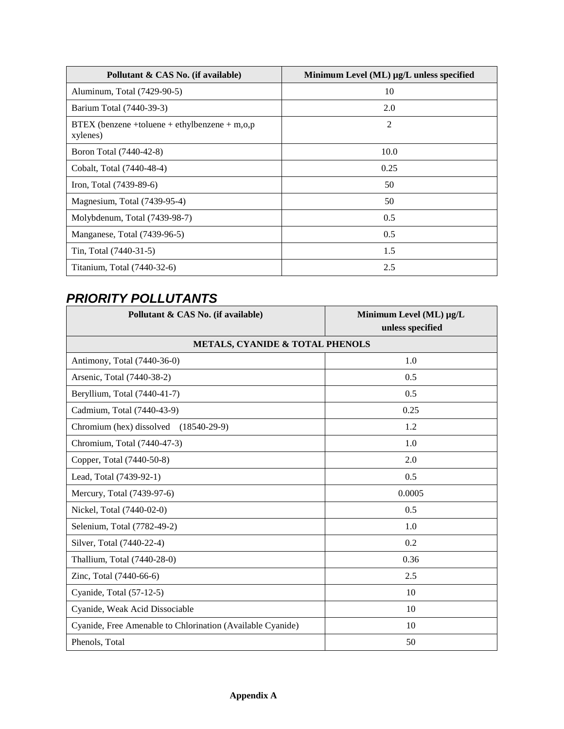| Pollutant & CAS No. (if available)                        | Minimum Level (ML) µg/L unless specified |
|-----------------------------------------------------------|------------------------------------------|
| Aluminum, Total (7429-90-5)                               | 10                                       |
| Barium Total (7440-39-3)                                  | 2.0                                      |
| BTEX (benzene +toluene + ethylbenzene + m,o,p<br>xylenes) | $\overline{2}$                           |
| Boron Total (7440-42-8)                                   | 10.0                                     |
| Cobalt, Total (7440-48-4)                                 | 0.25                                     |
| Iron, Total (7439-89-6)                                   | 50                                       |
| Magnesium, Total (7439-95-4)                              | 50                                       |
| Molybdenum, Total (7439-98-7)                             | 0.5                                      |
| Manganese, Total (7439-96-5)                              | 0.5                                      |
| Tin, Total (7440-31-5)                                    | 1.5                                      |
| Titanium, Total (7440-32-6)                               | 2.5                                      |

## *PRIORITY POLLUTANTS*

| Pollutant & CAS No. (if available)                         | Minimum Level (ML) µg/L<br>unless specified |  |  |  |  |
|------------------------------------------------------------|---------------------------------------------|--|--|--|--|
| <b>METALS, CYANIDE &amp; TOTAL PHENOLS</b>                 |                                             |  |  |  |  |
| Antimony, Total (7440-36-0)                                | 1.0                                         |  |  |  |  |
| Arsenic, Total (7440-38-2)                                 | 0.5                                         |  |  |  |  |
| Beryllium, Total (7440-41-7)                               | 0.5                                         |  |  |  |  |
| Cadmium, Total (7440-43-9)                                 | 0.25                                        |  |  |  |  |
| Chromium (hex) dissolved<br>$(18540-29-9)$                 | 1.2                                         |  |  |  |  |
| Chromium, Total (7440-47-3)                                | 1.0                                         |  |  |  |  |
| Copper, Total (7440-50-8)                                  | 2.0                                         |  |  |  |  |
| Lead, Total (7439-92-1)                                    | 0.5                                         |  |  |  |  |
| Mercury, Total (7439-97-6)                                 | 0.0005                                      |  |  |  |  |
| Nickel, Total (7440-02-0)                                  | 0.5                                         |  |  |  |  |
| Selenium, Total (7782-49-2)                                | 1.0                                         |  |  |  |  |
| Silver, Total (7440-22-4)                                  | 0.2                                         |  |  |  |  |
| Thallium, Total (7440-28-0)                                | 0.36                                        |  |  |  |  |
| Zinc, Total (7440-66-6)                                    | 2.5                                         |  |  |  |  |
| Cyanide, Total (57-12-5)                                   | 10                                          |  |  |  |  |
| Cyanide, Weak Acid Dissociable                             | 10                                          |  |  |  |  |
| Cyanide, Free Amenable to Chlorination (Available Cyanide) | 10                                          |  |  |  |  |
| Phenols, Total                                             | 50                                          |  |  |  |  |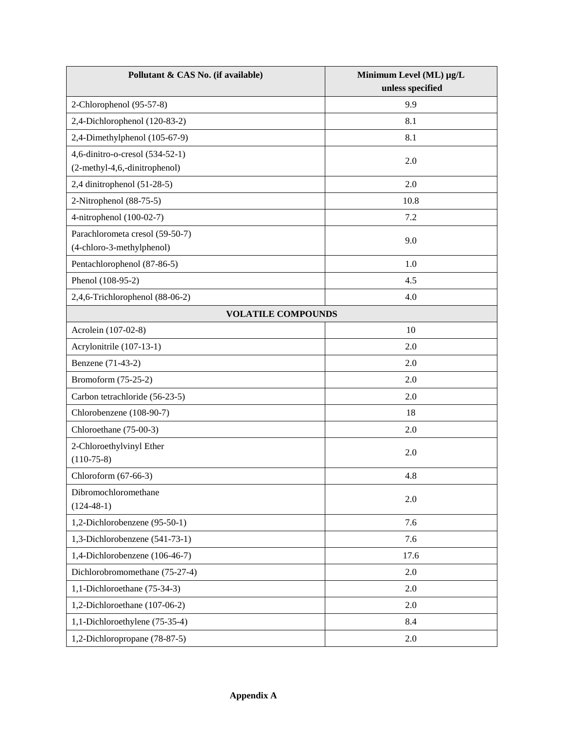| Pollutant & CAS No. (if available)                           | Minimum Level (ML) µg/L<br>unless specified |
|--------------------------------------------------------------|---------------------------------------------|
| 2-Chlorophenol (95-57-8)                                     | 9.9                                         |
| 2,4-Dichlorophenol (120-83-2)                                | 8.1                                         |
| 2,4-Dimethylphenol (105-67-9)                                | 8.1                                         |
| 4,6-dinitro-o-cresol (534-52-1)                              |                                             |
| (2-methyl-4,6,-dinitrophenol)                                | 2.0                                         |
| 2,4 dinitrophenol $(51-28-5)$                                | 2.0                                         |
| 2-Nitrophenol (88-75-5)                                      | 10.8                                        |
| 4-nitrophenol (100-02-7)                                     | 7.2                                         |
| Parachlorometa cresol (59-50-7)<br>(4-chloro-3-methylphenol) | 9.0                                         |
| Pentachlorophenol (87-86-5)                                  | 1.0                                         |
| Phenol (108-95-2)                                            | 4.5                                         |
| 2,4,6-Trichlorophenol (88-06-2)                              | 4.0                                         |
| <b>VOLATILE COMPOUNDS</b>                                    |                                             |
| Acrolein (107-02-8)                                          | 10                                          |
| Acrylonitrile (107-13-1)                                     | 2.0                                         |
| Benzene (71-43-2)                                            | 2.0                                         |
| Bromoform (75-25-2)                                          | 2.0                                         |
| Carbon tetrachloride (56-23-5)                               | 2.0                                         |
| Chlorobenzene (108-90-7)                                     | 18                                          |
| Chloroethane (75-00-3)                                       | 2.0                                         |
| 2-Chloroethylvinyl Ether<br>$(110-75-8)$                     | 2.0                                         |
| Chloroform (67-66-3)                                         | 4.8                                         |
| Dibromochloromethane<br>$(124-48-1)$                         | 2.0                                         |
| 1,2-Dichlorobenzene (95-50-1)                                | 7.6                                         |
| 1,3-Dichlorobenzene (541-73-1)                               | 7.6                                         |
| 1,4-Dichlorobenzene (106-46-7)                               | 17.6                                        |
| Dichlorobromomethane (75-27-4)                               | 2.0                                         |
| 1,1-Dichloroethane (75-34-3)                                 | 2.0                                         |
| 1,2-Dichloroethane (107-06-2)                                | 2.0                                         |
| 1,1-Dichloroethylene (75-35-4)                               | 8.4                                         |
| 1,2-Dichloropropane (78-87-5)                                | 2.0                                         |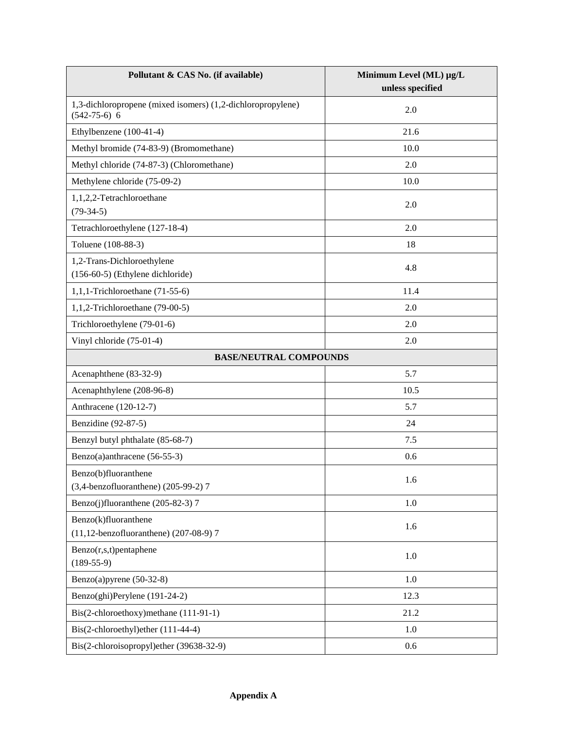| Pollutant & CAS No. (if available)                                                | Minimum Level (ML) µg/L |  |
|-----------------------------------------------------------------------------------|-------------------------|--|
|                                                                                   | unless specified        |  |
| 1,3-dichloropropene (mixed isomers) (1,2-dichloropropylene)<br>$(542 - 75 - 6)$ 6 | 2.0                     |  |
| Ethylbenzene (100-41-4)                                                           | 21.6                    |  |
| Methyl bromide (74-83-9) (Bromomethane)                                           | 10.0                    |  |
| Methyl chloride (74-87-3) (Chloromethane)                                         | 2.0                     |  |
| Methylene chloride (75-09-2)                                                      | 10.0                    |  |
| 1,1,2,2-Tetrachloroethane<br>$(79-34-5)$                                          | 2.0                     |  |
| Tetrachloroethylene (127-18-4)                                                    | 2.0                     |  |
| Toluene (108-88-3)                                                                | 18                      |  |
| 1,2-Trans-Dichloroethylene<br>(156-60-5) (Ethylene dichloride)                    | 4.8                     |  |
| 1,1,1-Trichloroethane $(71-55-6)$                                                 | 11.4                    |  |
| 1,1,2-Trichloroethane $(79-00-5)$                                                 | 2.0                     |  |
| Trichloroethylene (79-01-6)                                                       | 2.0                     |  |
| Vinyl chloride (75-01-4)                                                          | 2.0                     |  |
| <b>BASE/NEUTRAL COMPOUNDS</b>                                                     |                         |  |
| Acenaphthene (83-32-9)                                                            | 5.7                     |  |
| Acenaphthylene (208-96-8)                                                         | 10.5                    |  |
| Anthracene (120-12-7)                                                             | 5.7                     |  |
| Benzidine (92-87-5)                                                               | 24                      |  |
| Benzyl butyl phthalate (85-68-7)                                                  | 7.5                     |  |
| Benzo(a)anthracene (56-55-3)                                                      | 0.6                     |  |
| Benzo(b)fluoranthene<br>(3,4-benzofluoranthene) (205-99-2) 7                      | 1.6                     |  |
| Benzo(j)fluoranthene (205-82-3) 7                                                 | 1.0                     |  |
| Benzo(k)fluoranthene<br>(11,12-benzofluoranthene) (207-08-9) 7                    | 1.6                     |  |
| $Benzo(r,s,t)$ pentaphene<br>$(189 - 55 - 9)$                                     | 1.0                     |  |
| Benzo(a)pyrene $(50-32-8)$                                                        | 1.0                     |  |
| Benzo(ghi)Perylene (191-24-2)                                                     | 12.3                    |  |
| Bis(2-chloroethoxy)methane (111-91-1)                                             | 21.2                    |  |
| Bis(2-chloroethyl)ether (111-44-4)                                                | 1.0                     |  |
| Bis(2-chloroisopropyl)ether (39638-32-9)                                          | 0.6                     |  |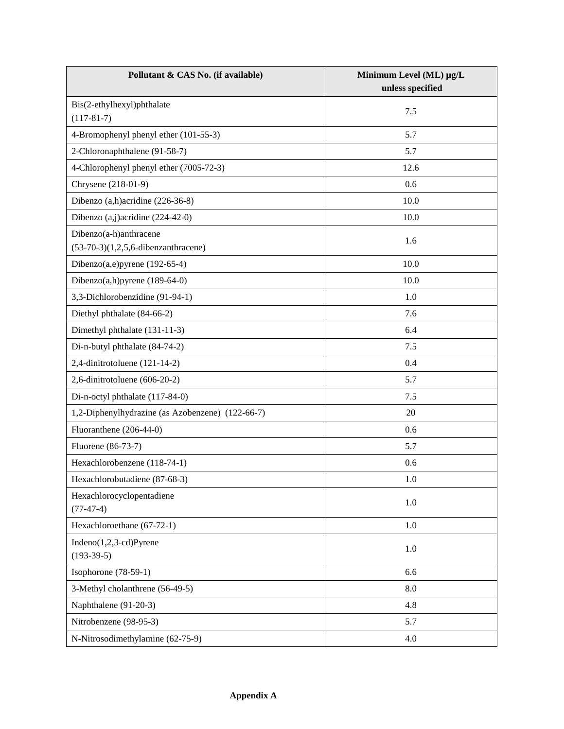| Pollutant & CAS No. (if available)                               | Minimum Level (ML) µg/L<br>unless specified |
|------------------------------------------------------------------|---------------------------------------------|
| Bis(2-ethylhexyl)phthalate<br>$(117-81-7)$                       | 7.5                                         |
| 4-Bromophenyl phenyl ether (101-55-3)                            | 5.7                                         |
| 2-Chloronaphthalene (91-58-7)                                    | 5.7                                         |
| 4-Chlorophenyl phenyl ether (7005-72-3)                          | 12.6                                        |
| Chrysene (218-01-9)                                              | 0.6                                         |
| Dibenzo (a,h) acridine (226-36-8)                                | 10.0                                        |
| Dibenzo $(a,j)$ acridine $(224-42-0)$                            | 10.0                                        |
| Dibenzo(a-h)anthracene<br>$(53-70-3)(1,2,5,6$ -dibenzanthracene) | 1.6                                         |
| Dibenzo $(a,e)$ pyrene (192-65-4)                                | 10.0                                        |
| Dibenzo $(a,h)$ pyrene (189-64-0)                                | 10.0                                        |
| 3,3-Dichlorobenzidine (91-94-1)                                  | 1.0                                         |
| Diethyl phthalate (84-66-2)                                      | 7.6                                         |
| Dimethyl phthalate (131-11-3)                                    | 6.4                                         |
| Di-n-butyl phthalate (84-74-2)                                   | 7.5                                         |
| 2,4-dinitrotoluene (121-14-2)                                    | 0.4                                         |
| 2,6-dinitrotoluene $(606-20-2)$                                  | 5.7                                         |
| Di-n-octyl phthalate (117-84-0)                                  | 7.5                                         |
| 1,2-Diphenylhydrazine (as Azobenzene) (122-66-7)                 | 20                                          |
| Fluoranthene (206-44-0)                                          | 0.6                                         |
| Fluorene (86-73-7)                                               | 5.7                                         |
| Hexachlorobenzene (118-74-1)                                     | 0.6                                         |
| Hexachlorobutadiene (87-68-3)                                    | 1.0                                         |
| Hexachlorocyclopentadiene<br>$(77-47-4)$                         | 1.0                                         |
| Hexachloroethane (67-72-1)                                       | $1.0\,$                                     |
| $Indeno(1,2,3-cd)Pyrene$<br>$(193-39-5)$                         | 1.0                                         |
| Isophorone $(78-59-1)$                                           | 6.6                                         |
| 3-Methyl cholanthrene (56-49-5)                                  | 8.0                                         |
| Naphthalene (91-20-3)                                            | 4.8                                         |
| Nitrobenzene (98-95-3)                                           | 5.7                                         |
| N-Nitrosodimethylamine (62-75-9)                                 | 4.0                                         |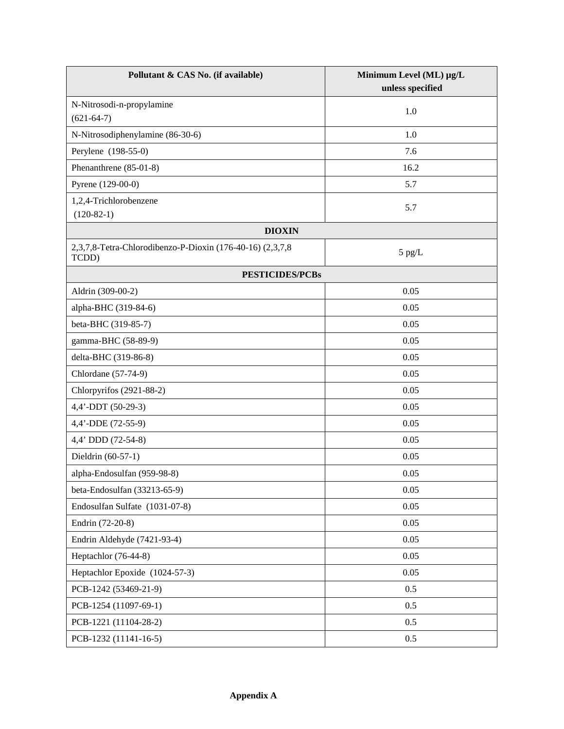| Pollutant & CAS No. (if available)                                 | Minimum Level (ML) µg/L<br>unless specified |  |
|--------------------------------------------------------------------|---------------------------------------------|--|
| N-Nitrosodi-n-propylamine<br>$(621-64-7)$                          | 1.0                                         |  |
| N-Nitrosodiphenylamine (86-30-6)                                   | 1.0                                         |  |
| Perylene (198-55-0)                                                | 7.6                                         |  |
| Phenanthrene (85-01-8)                                             | 16.2                                        |  |
| Pyrene (129-00-0)                                                  | 5.7                                         |  |
| 1,2,4-Trichlorobenzene<br>$(120-82-1)$                             | 5.7                                         |  |
| <b>DIOXIN</b>                                                      |                                             |  |
| 2,3,7,8-Tetra-Chlorodibenzo-P-Dioxin (176-40-16) (2,3,7,8<br>TCDD) | $5$ pg/L                                    |  |
| <b>PESTICIDES/PCBs</b>                                             |                                             |  |
| Aldrin (309-00-2)                                                  | 0.05                                        |  |
| alpha-BHC (319-84-6)                                               | 0.05                                        |  |
| beta-BHC (319-85-7)                                                | 0.05                                        |  |
| gamma-BHC (58-89-9)                                                | 0.05                                        |  |
| delta-BHC (319-86-8)                                               | 0.05                                        |  |
| Chlordane (57-74-9)                                                | 0.05                                        |  |
| Chlorpyrifos (2921-88-2)                                           | 0.05                                        |  |
| 4,4'-DDT (50-29-3)                                                 | 0.05                                        |  |
| 4,4'-DDE (72-55-9)                                                 | 0.05                                        |  |
| 4,4' DDD (72-54-8)                                                 | 0.05                                        |  |
| Dieldrin (60-57-1)                                                 | 0.05                                        |  |
| alpha-Endosulfan (959-98-8)                                        | 0.05                                        |  |
| beta-Endosulfan (33213-65-9)                                       | 0.05                                        |  |
| Endosulfan Sulfate (1031-07-8)                                     | 0.05                                        |  |
| Endrin (72-20-8)                                                   | 0.05                                        |  |
| Endrin Aldehyde (7421-93-4)                                        | 0.05                                        |  |
| Heptachlor (76-44-8)                                               | 0.05                                        |  |
| Heptachlor Epoxide (1024-57-3)                                     | 0.05                                        |  |
| PCB-1242 (53469-21-9)                                              | 0.5                                         |  |
| PCB-1254 (11097-69-1)                                              | 0.5                                         |  |
| PCB-1221 (11104-28-2)                                              | 0.5                                         |  |
| PCB-1232 (11141-16-5)                                              | 0.5                                         |  |